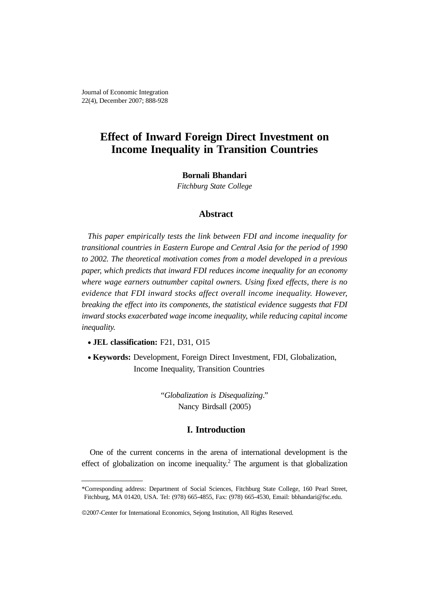# **Effect of Inward Foreign Direct Investment on Income Inequality in Transition Countries**

## **Bornali Bhandari**

*Fitchburg State College*

# **Abstract**

*This paper empirically tests the link between FDI and income inequality for transitional countries in Eastern Europe and Central Asia for the period of 1990 to 2002. The theoretical motivation comes from a model developed in a previous paper, which predicts that inward FDI reduces income inequality for an economy where wage earners outnumber capital owners. Using fixed effects, there is no evidence that FDI inward stocks affect overall income inequality. However, breaking the effect into its components, the statistical evidence suggests that FDI inward stocks exacerbated wage income inequality, while reducing capital income inequality.*

• **JEL classification:** F21, D31, O15

• **Keywords:** Development, Foreign Direct Investment, FDI, Globalization, Income Inequality, Transition Countries

> "*Globalization is Disequalizing*." Nancy Birdsall (2005)

# **I. Introduction**

One of the current concerns in the arena of international development is the effect of globalization on income inequality.<sup>2</sup> The argument is that globalization

<sup>\*</sup>Corresponding address: Department of Social Sciences, Fitchburg State College, 160 Pearl Street, Fitchburg, MA 01420, USA. Tel: (978) 665-4855, Fax: (978) 665-4530, Email: bbhandari@fsc.edu.

<sup>©</sup>2007-Center for International Economics, Sejong Institution, All Rights Reserved.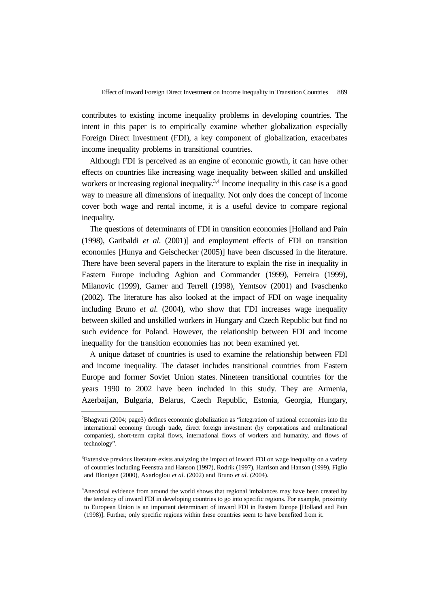contributes to existing income inequality problems in developing countries. The intent in this paper is to empirically examine whether globalization especially Foreign Direct Investment (FDI), a key component of globalization, exacerbates income inequality problems in transitional countries.

Although FDI is perceived as an engine of economic growth, it can have other effects on countries like increasing wage inequality between skilled and unskilled workers or increasing regional inequality.<sup>3,4</sup> Income inequality in this case is a good way to measure all dimensions of inequality. Not only does the concept of income cover both wage and rental income, it is a useful device to compare regional inequality.

The questions of determinants of FDI in transition economies [Holland and Pain (1998), Garibaldi *et al*. (2001)] and employment effects of FDI on transition economies [Hunya and Geischecker (2005)] have been discussed in the literature. There have been several papers in the literature to explain the rise in inequality in Eastern Europe including Aghion and Commander (1999), Ferreira (1999), Milanovic (1999), Garner and Terrell (1998), Yemtsov (2001) and Ivaschenko (2002). The literature has also looked at the impact of FDI on wage inequality including Bruno *et al*. (2004), who show that FDI increases wage inequality between skilled and unskilled workers in Hungary and Czech Republic but find no such evidence for Poland. However, the relationship between FDI and income inequality for the transition economies has not been examined yet.

A unique dataset of countries is used to examine the relationship between FDI and income inequality. The dataset includes transitional countries from Eastern Europe and former Soviet Union states. Nineteen transitional countries for the years 1990 to 2002 have been included in this study. They are Armenia, Azerbaijan, Bulgaria, Belarus, Czech Republic, Estonia, Georgia, Hungary,

<sup>2</sup> Bhagwati (2004; page3) defines economic globalization as "integration of national economies into the international economy through trade, direct foreign investment (by corporations and multinational companies), short-term capital flows, international flows of workers and humanity, and flows of technology".

<sup>3</sup> Extensive previous literature exists analyzing the impact of inward FDI on wage inequality on a variety of countries including Feenstra and Hanson (1997), Rodrik (1997), Harrison and Hanson (1999), Figlio and Blonigen (2000), Axarloglou *et al*. (2002) and Bruno *et al*. (2004).

<sup>&</sup>lt;sup>4</sup>Anecdotal evidence from around the world shows that regional imbalances may have been created by the tendency of inward FDI in developing countries to go into specific regions. For example, proximity to European Union is an important determinant of inward FDI in Eastern Europe [Holland and Pain (1998)]. Further, only specific regions within these countries seem to have benefited from it.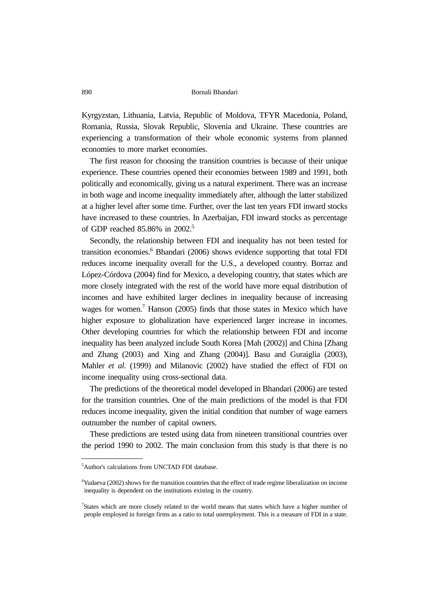Kyrgyzstan, Lithuania, Latvia, Republic of Moldova, TFYR Macedonia, Poland, Romania, Russia, Slovak Republic, Slovenia and Ukraine. These countries are experiencing a transformation of their whole economic systems from planned economies to more market economies.

The first reason for choosing the transition countries is because of their unique experience. These countries opened their economies between 1989 and 1991, both politically and economically, giving us a natural experiment. There was an increase in both wage and income inequality immediately after, although the latter stabilized at a higher level after some time. Further, over the last ten years FDI inward stocks have increased to these countries. In Azerbaijan, FDI inward stocks as percentage of GDP reached 85.86% in 2002.5

Secondly, the relationship between FDI and inequality has not been tested for transition economies.<sup>6</sup> Bhandari (2006) shows evidence supporting that total FDI reduces income inequality overall for the U.S., a developed country. Borraz and López-Córdova (2004) find for Mexico, a developing country, that states which are more closely integrated with the rest of the world have more equal distribution of incomes and have exhibited larger declines in inequality because of increasing wages for women.<sup>7</sup> Hanson (2005) finds that those states in Mexico which have higher exposure to globalization have experienced larger increase in incomes. Other developing countries for which the relationship between FDI and income inequality has been analyzed include South Korea [Mah (2002)] and China [Zhang and Zhang (2003) and Xing and Zhang (2004)]. Basu and Guraiglia (2003), Mahler *et al*. (1999) and Milanovic (2002) have studied the effect of FDI on income inequality using cross-sectional data.

The predictions of the theoretical model developed in Bhandari (2006) are tested for the transition countries. One of the main predictions of the model is that FDI reduces income inequality, given the initial condition that number of wage earners outnumber the number of capital owners.

These predictions are tested using data from nineteen transitional countries over the period 1990 to 2002. The main conclusion from this study is that there is no

<sup>5</sup> Author's calculations from UNCTAD FDI database.

<sup>&</sup>lt;sup>6</sup>Yudaeva (2002) shows for the transition countries that the effect of trade regime liberalization on income inequality is dependent on the institutions existing in the country.

<sup>7</sup> States which are more closely related to the world means that states which have a higher number of people employed in foreign firms as a ratio to total unemployment. This is a measure of FDI in a state.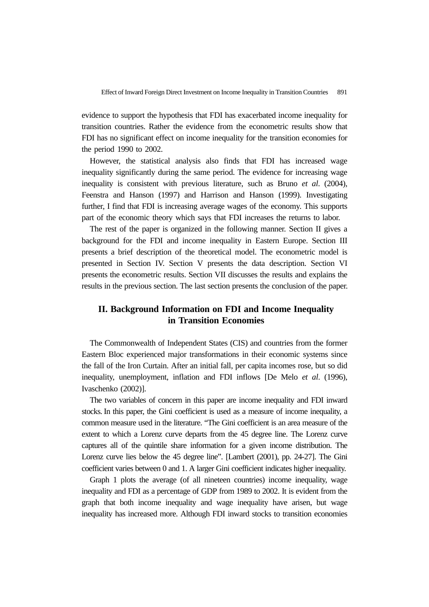evidence to support the hypothesis that FDI has exacerbated income inequality for transition countries. Rather the evidence from the econometric results show that FDI has no significant effect on income inequality for the transition economies for the period 1990 to 2002.

However, the statistical analysis also finds that FDI has increased wage inequality significantly during the same period. The evidence for increasing wage inequality is consistent with previous literature, such as Bruno *et al*. (2004), Feenstra and Hanson (1997) and Harrison and Hanson (1999). Investigating further, I find that FDI is increasing average wages of the economy. This supports part of the economic theory which says that FDI increases the returns to labor.

The rest of the paper is organized in the following manner. Section II gives a background for the FDI and income inequality in Eastern Europe. Section III presents a brief description of the theoretical model. The econometric model is presented in Section IV. Section V presents the data description. Section VI presents the econometric results. Section VII discusses the results and explains the results in the previous section. The last section presents the conclusion of the paper.

# **II. Background Information on FDI and Income Inequality in Transition Economies**

The Commonwealth of Independent States (CIS) and countries from the former Eastern Bloc experienced major transformations in their economic systems since the fall of the Iron Curtain. After an initial fall, per capita incomes rose, but so did inequality, unemployment, inflation and FDI inflows [De Melo *et al*. (1996), Ivaschenko (2002)].

The two variables of concern in this paper are income inequality and FDI inward stocks. In this paper, the Gini coefficient is used as a measure of income inequality, a common measure used in the literature. "The Gini coefficient is an area measure of the extent to which a Lorenz curve departs from the 45 degree line. The Lorenz curve captures all of the quintile share information for a given income distribution. The Lorenz curve lies below the 45 degree line". [Lambert (2001), pp. 24-27]. The Gini coefficient varies between 0 and 1. A larger Gini coefficient indicates higher inequality.

Graph 1 plots the average (of all nineteen countries) income inequality, wage inequality and FDI as a percentage of GDP from 1989 to 2002. It is evident from the graph that both income inequality and wage inequality have arisen, but wage inequality has increased more. Although FDI inward stocks to transition economies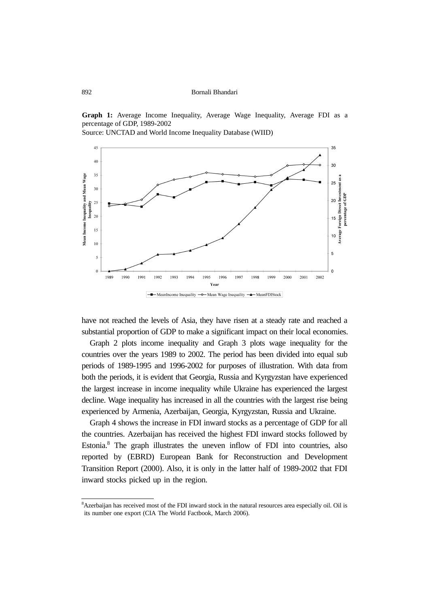**Graph 1:** Average Income Inequality, Average Wage Inequality, Average FDI as a percentage of GDP, 1989-2002





have not reached the levels of Asia, they have risen at a steady rate and reached a substantial proportion of GDP to make a significant impact on their local economies.

Graph 2 plots income inequality and Graph 3 plots wage inequality for the countries over the years 1989 to 2002. The period has been divided into equal sub periods of 1989-1995 and 1996-2002 for purposes of illustration. With data from both the periods, it is evident that Georgia, Russia and Kyrgyzstan have experienced the largest increase in income inequality while Ukraine has experienced the largest decline. Wage inequality has increased in all the countries with the largest rise being experienced by Armenia, Azerbaijan, Georgia, Kyrgyzstan, Russia and Ukraine.

Graph 4 shows the increase in FDI inward stocks as a percentage of GDP for all the countries. Azerbaijan has received the highest FDI inward stocks followed by Estonia.<sup>8</sup> The graph illustrates the uneven inflow of FDI into countries, also reported by (EBRD) European Bank for Reconstruction and Development Transition Report (2000). Also, it is only in the latter half of 1989-2002 that FDI inward stocks picked up in the region.

<sup>8</sup> Azerbaijan has received most of the FDI inward stock in the natural resources area especially oil. Oil is its number one export (CIA The World Factbook, March 2006).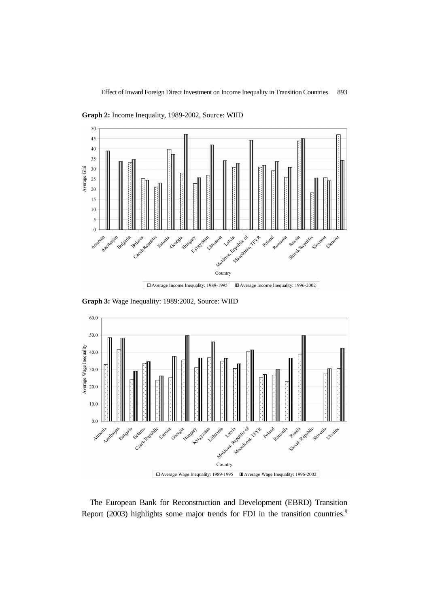

**Graph 2:** Income Inequality, 1989-2002, Source: WIID

**Graph 3:** Wage Inequality: 1989:2002, Source: WIID



The European Bank for Reconstruction and Development (EBRD) Transition Report (2003) highlights some major trends for FDI in the transition countries.<sup>9</sup>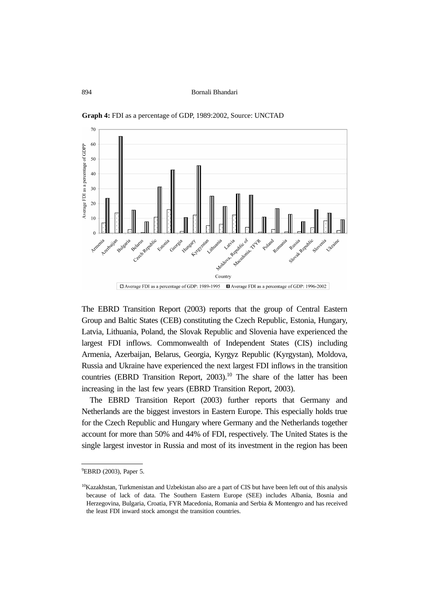

**Graph 4:** FDI as a percentage of GDP, 1989:2002, Source: UNCTAD

The EBRD Transition Report (2003) reports that the group of Central Eastern Group and Baltic States (CEB) constituting the Czech Republic, Estonia, Hungary, Latvia, Lithuania, Poland, the Slovak Republic and Slovenia have experienced the largest FDI inflows. Commonwealth of Independent States (CIS) including Armenia, Azerbaijan, Belarus, Georgia, Kyrgyz Republic (Kyrgystan), Moldova, Russia and Ukraine have experienced the next largest FDI inflows in the transition countries (EBRD Transition Report,  $2003$ ).<sup>10</sup> The share of the latter has been increasing in the last few years (EBRD Transition Report, 2003).

The EBRD Transition Report (2003) further reports that Germany and Netherlands are the biggest investors in Eastern Europe. This especially holds true for the Czech Republic and Hungary where Germany and the Netherlands together account for more than 50% and 44% of FDI, respectively. The United States is the single largest investor in Russia and most of its investment in the region has been

<sup>&</sup>lt;sup>9</sup>EBRD (2003), Paper 5.

 $10$ Kazakhstan, Turkmenistan and Uzbekistan also are a part of CIS but have been left out of this analysis because of lack of data. The Southern Eastern Europe (SEE) includes Albania, Bosnia and Herzegovina, Bulgaria, Croatia, FYR Macedonia, Romania and Serbia & Montengro and has received the least FDI inward stock amongst the transition countries.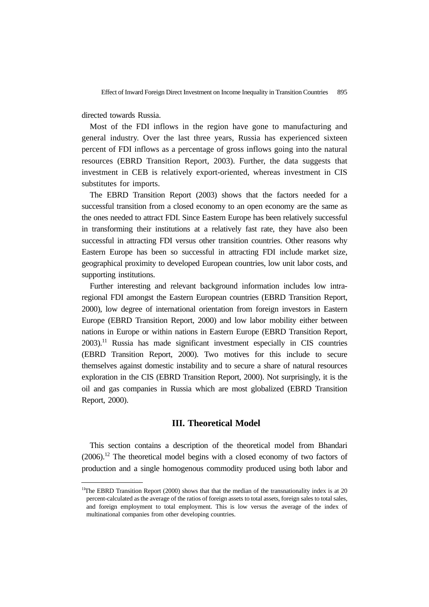directed towards Russia.

Most of the FDI inflows in the region have gone to manufacturing and general industry. Over the last three years, Russia has experienced sixteen percent of FDI inflows as a percentage of gross inflows going into the natural resources (EBRD Transition Report, 2003). Further, the data suggests that investment in CEB is relatively export-oriented, whereas investment in CIS substitutes for imports.

The EBRD Transition Report (2003) shows that the factors needed for a successful transition from a closed economy to an open economy are the same as the ones needed to attract FDI. Since Eastern Europe has been relatively successful in transforming their institutions at a relatively fast rate, they have also been successful in attracting FDI versus other transition countries. Other reasons why Eastern Europe has been so successful in attracting FDI include market size, geographical proximity to developed European countries, low unit labor costs, and supporting institutions.

Further interesting and relevant background information includes low intraregional FDI amongst the Eastern European countries (EBRD Transition Report, 2000), low degree of international orientation from foreign investors in Eastern Europe (EBRD Transition Report, 2000) and low labor mobility either between nations in Europe or within nations in Eastern Europe (EBRD Transition Report,  $2003$ .<sup>11</sup> Russia has made significant investment especially in CIS countries (EBRD Transition Report, 2000). Two motives for this include to secure themselves against domestic instability and to secure a share of natural resources exploration in the CIS (EBRD Transition Report, 2000). Not surprisingly, it is the oil and gas companies in Russia which are most globalized (EBRD Transition Report, 2000).

### **III. Theoretical Model**

This section contains a description of the theoretical model from Bhandari  $(2006).$ <sup>12</sup> The theoretical model begins with a closed economy of two factors of production and a single homogenous commodity produced using both labor and

<sup>&</sup>lt;sup>11</sup>The EBRD Transition Report (2000) shows that that the median of the transnationality index is at 20 percent-calculated as the average of the ratios of foreign assets to total assets, foreign sales to total sales, and foreign employment to total employment. This is low versus the average of the index of multinational companies from other developing countries.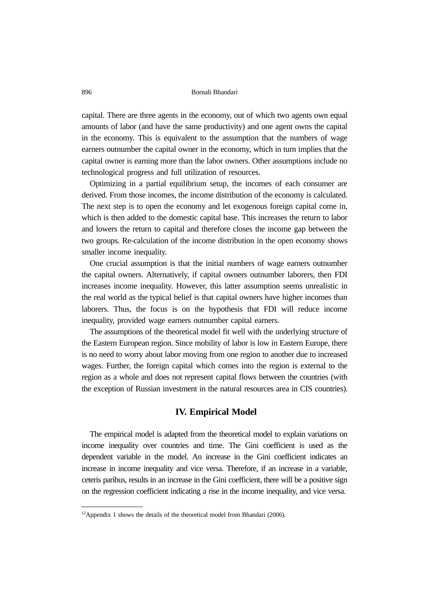capital. There are three agents in the economy, out of which two agents own equal amounts of labor (and have the same productivity) and one agent owns the capital in the economy. This is equivalent to the assumption that the numbers of wage earners outnumber the capital owner in the economy, which in turn implies that the capital owner is earning more than the labor owners. Other assumptions include no technological progress and full utilization of resources.

Optimizing in a partial equilibrium setup, the incomes of each consumer are derived. From those incomes, the income distribution of the economy is calculated. The next step is to open the economy and let exogenous foreign capital come in, which is then added to the domestic capital base. This increases the return to labor and lowers the return to capital and therefore closes the income gap between the two groups. Re-calculation of the income distribution in the open economy shows smaller income inequality.

One crucial assumption is that the initial numbers of wage earners outnumber the capital owners. Alternatively, if capital owners outnumber laborers, then FDI increases income inequality. However, this latter assumption seems unrealistic in the real world as the typical belief is that capital owners have higher incomes than laborers. Thus, the focus is on the hypothesis that FDI will reduce income inequality, provided wage earners outnumber capital earners.

The assumptions of the theoretical model fit well with the underlying structure of the Eastern European region. Since mobility of labor is low in Eastern Europe, there is no need to worry about labor moving from one region to another due to increased wages. Further, the foreign capital which comes into the region is external to the region as a whole and does not represent capital flows between the countries (with the exception of Russian investment in the natural resources area in CIS countries).

## **IV. Empirical Model**

The empirical model is adapted from the theoretical model to explain variations on income inequality over countries and time. The Gini coefficient is used as the dependent variable in the model. An increase in the Gini coefficient indicates an increase in income inequality and vice versa. Therefore, if an increase in a variable, ceteris paribus, results in an increase in the Gini coefficient, there will be a positive sign on the regression coefficient indicating a rise in the income inequality, and vice versa.

 $12$ Appendix 1 shows the details of the theoretical model from Bhandari (2006).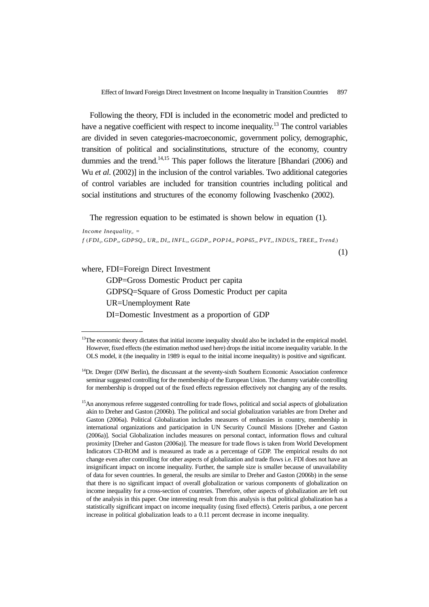Effect of Inward Foreign Direct Investment on Income Inequality in Transition Countries 897

Following the theory, FDI is included in the econometric model and predicted to have a negative coefficient with respect to income inequality.<sup>13</sup> The control variables are divided in seven categories-macroeconomic, government policy, demographic, transition of political and socialinstitutions, structure of the economy, country dummies and the trend.<sup>14,15</sup> This paper follows the literature [Bhandari (2006) and Wu *et al*. (2002)] in the inclusion of the control variables. Two additional categories of control variables are included for transition countries including political and social institutions and structures of the economy following Ivaschenko (2002).

The regression equation to be estimated is shown below in equation (1).

*Income Inequality*<sub> $iota$ </sub> =  $f$  ( $FDI_{ii}$ ,  $GDP_{ii}$ ,  $GDPSQ_{ii}$ ,  $UR_{ii}$ ,  $DI_{ii}$ ,  $INFL_{ii}$ ,  $GGDP_{ii}$ ,  $POP14_{ii}$ ,  $POP65_{ii}$ ,  $PVT_{ii}$ ,  $INDUS_{ii}$ ,  $TREE_{ii}$ ,  $Trend_{i}$ )

(1)

where, FDI=Foreign Direct Investment

GDP=Gross Domestic Product per capita GDPSQ=Square of Gross Domestic Product per capita UR=Unemployment Rate DI=Domestic Investment as a proportion of GDP

<sup>&</sup>lt;sup>13</sup>The economic theory dictates that initial income inequality should also be included in the empirical model. However, fixed effects (the estimation method used here) drops the initial income inequality variable. In the OLS model, it (the inequality in 1989 is equal to the initial income inequality) is positive and significant.

<sup>&</sup>lt;sup>14</sup>Dr. Dreger (DIW Berlin), the discussant at the seventy-sixth Southern Economic Association conference seminar suggested controlling for the membership of the European Union. The dummy variable controlling for membership is dropped out of the fixed effects regression effectively not changing any of the results.

<sup>&</sup>lt;sup>15</sup>An anonymous referee suggested controlling for trade flows, political and social aspects of globalization akin to Dreher and Gaston (2006b). The political and social globalization variables are from Dreher and Gaston (2006a). Political Globalization includes measures of embassies in country, membership in international organizations and participation in UN Security Council Missions [Dreher and Gaston (2006a)]. Social Globalization includes measures on personal contact, information flows and cultural proximity [Dreher and Gaston (2006a)]. The measure for trade flows is taken from World Development Indicators CD-ROM and is measured as trade as a percentage of GDP. The empirical results do not change even after controlling for other aspects of globalization and trade flows i.e. FDI does not have an insignificant impact on income inequality. Further, the sample size is smaller because of unavailability of data for seven countries. In general, the results are similar to Dreher and Gaston (2006b) in the sense that there is no significant impact of overall globalization or various components of globalization on income inequality for a cross-section of countries. Therefore, other aspects of globalization are left out of the analysis in this paper. One interesting result from this analysis is that political globalization has a statistically significant impact on income inequality (using fixed effects). Ceteris paribus, a one percent increase in political globalization leads to a 0.11 percent decrease in income inequality.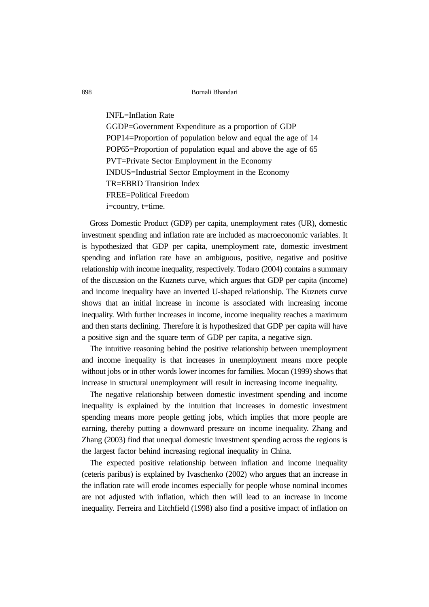INFL=Inflation Rate GGDP=Government Expenditure as a proportion of GDP POP14=Proportion of population below and equal the age of 14 POP65=Proportion of population equal and above the age of 65 PVT=Private Sector Employment in the Economy INDUS=Industrial Sector Employment in the Economy TR=EBRD Transition Index FREE=Political Freedom i=country, t=time.

Gross Domestic Product (GDP) per capita, unemployment rates (UR), domestic investment spending and inflation rate are included as macroeconomic variables. It is hypothesized that GDP per capita, unemployment rate, domestic investment spending and inflation rate have an ambiguous, positive, negative and positive relationship with income inequality, respectively. Todaro (2004) contains a summary of the discussion on the Kuznets curve, which argues that GDP per capita (income) and income inequality have an inverted U-shaped relationship. The Kuznets curve shows that an initial increase in income is associated with increasing income inequality. With further increases in income, income inequality reaches a maximum and then starts declining. Therefore it is hypothesized that GDP per capita will have a positive sign and the square term of GDP per capita, a negative sign.

The intuitive reasoning behind the positive relationship between unemployment and income inequality is that increases in unemployment means more people without jobs or in other words lower incomes for families. Mocan (1999) shows that increase in structural unemployment will result in increasing income inequality.

The negative relationship between domestic investment spending and income inequality is explained by the intuition that increases in domestic investment spending means more people getting jobs, which implies that more people are earning, thereby putting a downward pressure on income inequality. Zhang and Zhang (2003) find that unequal domestic investment spending across the regions is the largest factor behind increasing regional inequality in China.

The expected positive relationship between inflation and income inequality (ceteris paribus) is explained by Ivaschenko (2002) who argues that an increase in the inflation rate will erode incomes especially for people whose nominal incomes are not adjusted with inflation, which then will lead to an increase in income inequality. Ferreira and Litchfield (1998) also find a positive impact of inflation on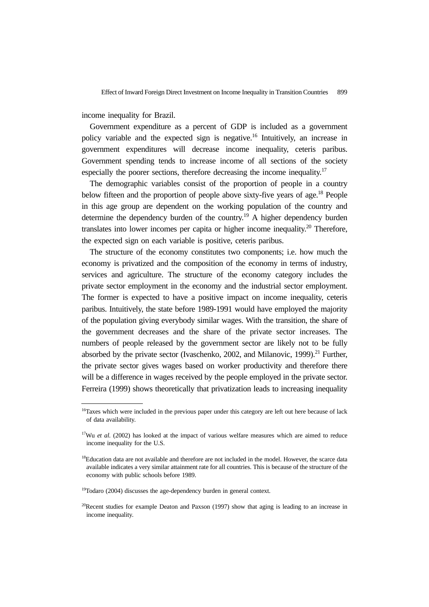income inequality for Brazil.

Government expenditure as a percent of GDP is included as a government policy variable and the expected sign is negative.16 Intuitively, an increase in government expenditures will decrease income inequality, ceteris paribus. Government spending tends to increase income of all sections of the society especially the poorer sections, therefore decreasing the income inequality.<sup>17</sup>

The demographic variables consist of the proportion of people in a country below fifteen and the proportion of people above sixty-five years of age.<sup>18</sup> People in this age group are dependent on the working population of the country and determine the dependency burden of the country.<sup>19</sup> A higher dependency burden translates into lower incomes per capita or higher income inequality.<sup>20</sup> Therefore, the expected sign on each variable is positive, ceteris paribus.

The structure of the economy constitutes two components; i.e. how much the economy is privatized and the composition of the economy in terms of industry, services and agriculture. The structure of the economy category includes the private sector employment in the economy and the industrial sector employment. The former is expected to have a positive impact on income inequality, ceteris paribus. Intuitively, the state before 1989-1991 would have employed the majority of the population giving everybody similar wages. With the transition, the share of the government decreases and the share of the private sector increases. The numbers of people released by the government sector are likely not to be fully absorbed by the private sector (Ivaschenko, 2002, and Milanovic, 1999).<sup>21</sup> Further. the private sector gives wages based on worker productivity and therefore there will be a difference in wages received by the people employed in the private sector. Ferreira (1999) shows theoretically that privatization leads to increasing inequality

<sup>&</sup>lt;sup>16</sup>Taxes which were included in the previous paper under this category are left out here because of lack of data availability.

<sup>&</sup>lt;sup>17</sup>Wu *et al.* (2002) has looked at the impact of various welfare measures which are aimed to reduce income inequality for the U.S.

<sup>&</sup>lt;sup>18</sup>Education data are not available and therefore are not included in the model. However, the scarce data available indicates a very similar attainment rate for all countries. This is because of the structure of the economy with public schools before 1989.

<sup>&</sup>lt;sup>19</sup>Todaro (2004) discusses the age-dependency burden in general context.

<sup>&</sup>lt;sup>20</sup>Recent studies for example Deaton and Paxson (1997) show that aging is leading to an increase in income inequality.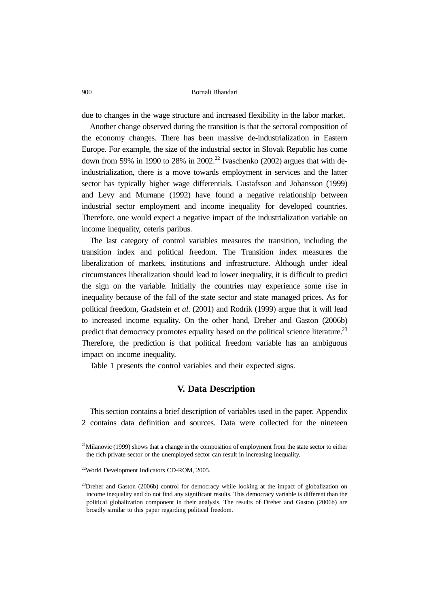due to changes in the wage structure and increased flexibility in the labor market.

Another change observed during the transition is that the sectoral composition of the economy changes. There has been massive de-industrialization in Eastern Europe. For example, the size of the industrial sector in Slovak Republic has come down from 59% in 1990 to 28% in 2002.<sup>22</sup> Ivaschenko (2002) argues that with deindustrialization, there is a move towards employment in services and the latter sector has typically higher wage differentials. Gustafsson and Johansson (1999) and Levy and Murnane (1992) have found a negative relationship between industrial sector employment and income inequality for developed countries. Therefore, one would expect a negative impact of the industrialization variable on income inequality, ceteris paribus.

The last category of control variables measures the transition, including the transition index and political freedom. The Transition index measures the liberalization of markets, institutions and infrastructure. Although under ideal circumstances liberalization should lead to lower inequality, it is difficult to predict the sign on the variable. Initially the countries may experience some rise in inequality because of the fall of the state sector and state managed prices. As for political freedom, Gradstein *et al*. (2001) and Rodrik (1999) argue that it will lead to increased income equality. On the other hand, Dreher and Gaston (2006b) predict that democracy promotes equality based on the political science literature.<sup>23</sup> Therefore, the prediction is that political freedom variable has an ambiguous impact on income inequality.

Table 1 presents the control variables and their expected signs.

### **V. Data Description**

This section contains a brief description of variables used in the paper. Appendix 2 contains data definition and sources. Data were collected for the nineteen

 $21$ Milanovic (1999) shows that a change in the composition of employment from the state sector to either the rich private sector or the unemployed sector can result in increasing inequality.

<sup>22</sup>World Development Indicators CD-ROM, 2005.

 $^{23}$ Dreher and Gaston (2006b) control for democracy while looking at the impact of globalization on income inequality and do not find any significant results. This democracy variable is different than the political globalization component in their analysis. The results of Dreher and Gaston (2006b) are broadly similar to this paper regarding political freedom.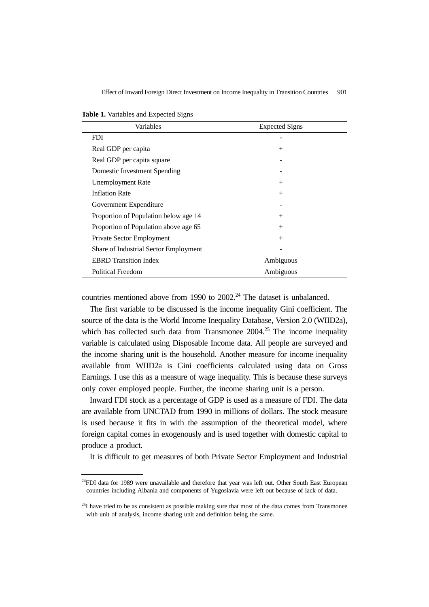Effect of Inward Foreign Direct Investment on Income Inequality in Transition Countries 901

**Table 1.** Variables and Expected Signs

| Variables                             | <b>Expected Signs</b> |
|---------------------------------------|-----------------------|
| <b>FDI</b>                            |                       |
| Real GDP per capita                   | $^{+}$                |
| Real GDP per capita square            |                       |
| Domestic Investment Spending          |                       |
| <b>Unemployment Rate</b>              | $^{+}$                |
| <b>Inflation Rate</b>                 | $^{+}$                |
| Government Expenditure                |                       |
| Proportion of Population below age 14 | $^{+}$                |
| Proportion of Population above age 65 | $^{+}$                |
| Private Sector Employment             | $^{+}$                |
| Share of Industrial Sector Employment |                       |
| <b>EBRD</b> Transition Index          | Ambiguous             |
| <b>Political Freedom</b>              | Ambiguous             |

countries mentioned above from 1990 to  $2002<sup>24</sup>$  The dataset is unbalanced.

The first variable to be discussed is the income inequality Gini coefficient. The source of the data is the World Income Inequality Database, Version 2.0 (WIID2a), which has collected such data from Transmonee  $2004.<sup>25</sup>$  The income inequality variable is calculated using Disposable Income data. All people are surveyed and the income sharing unit is the household. Another measure for income inequality available from WIID2a is Gini coefficients calculated using data on Gross Earnings. I use this as a measure of wage inequality. This is because these surveys only cover employed people. Further, the income sharing unit is a person.

Inward FDI stock as a percentage of GDP is used as a measure of FDI. The data are available from UNCTAD from 1990 in millions of dollars. The stock measure is used because it fits in with the assumption of the theoretical model, where foreign capital comes in exogenously and is used together with domestic capital to produce a product.

It is difficult to get measures of both Private Sector Employment and Industrial

<sup>&</sup>lt;sup>24</sup>FDI data for 1989 were unavailable and therefore that year was left out. Other South East European countries including Albania and components of Yugoslavia were left out because of lack of data.

 $^{25}$ I have tried to be as consistent as possible making sure that most of the data comes from Transmonee with unit of analysis, income sharing unit and definition being the same.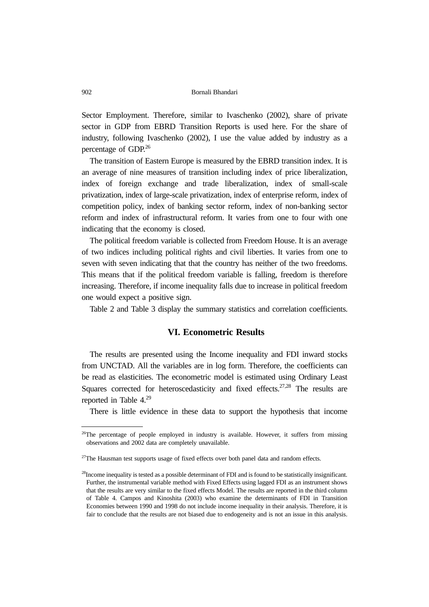Sector Employment. Therefore, similar to Ivaschenko (2002), share of private sector in GDP from EBRD Transition Reports is used here. For the share of industry, following Ivaschenko (2002), I use the value added by industry as a percentage of GDP.26

The transition of Eastern Europe is measured by the EBRD transition index. It is an average of nine measures of transition including index of price liberalization, index of foreign exchange and trade liberalization, index of small-scale privatization, index of large-scale privatization, index of enterprise reform, index of competition policy, index of banking sector reform, index of non-banking sector reform and index of infrastructural reform. It varies from one to four with one indicating that the economy is closed.

The political freedom variable is collected from Freedom House. It is an average of two indices including political rights and civil liberties. It varies from one to seven with seven indicating that that the country has neither of the two freedoms. This means that if the political freedom variable is falling, freedom is therefore increasing. Therefore, if income inequality falls due to increase in political freedom one would expect a positive sign.

Table 2 and Table 3 display the summary statistics and correlation coefficients.

# **VI. Econometric Results**

The results are presented using the Income inequality and FDI inward stocks from UNCTAD. All the variables are in log form. Therefore, the coefficients can be read as elasticities. The econometric model is estimated using Ordinary Least Squares corrected for heteroscedasticity and fixed effects. $27,28$  The results are reported in Table 4.29

There is little evidence in these data to support the hypothesis that income

 $^{26}$ The percentage of people employed in industry is available. However, it suffers from missing observations and 2002 data are completely unavailable.

<sup>&</sup>lt;sup>27</sup>The Hausman test supports usage of fixed effects over both panel data and random effects.

<sup>&</sup>lt;sup>28</sup>Income inequality is tested as a possible determinant of FDI and is found to be statistically insignificant. Further, the instrumental variable method with Fixed Effects using lagged FDI as an instrument shows that the results are very similar to the fixed effects Model. The results are reported in the third column of Table 4. Campos and Kinoshita (2003) who examine the determinants of FDI in Transition Economies between 1990 and 1998 do not include income inequality in their analysis. Therefore, it is fair to conclude that the results are not biased due to endogeneity and is not an issue in this analysis.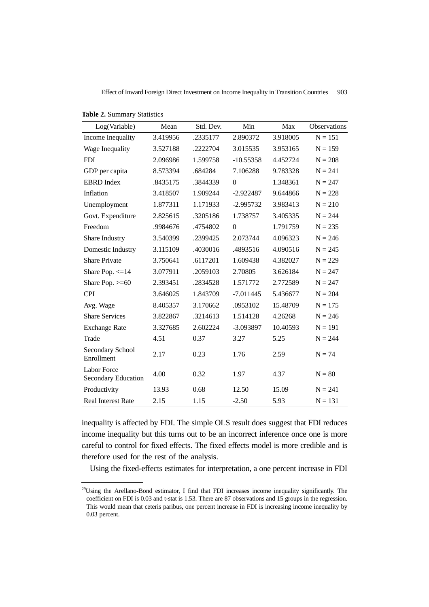Effect of Inward Foreign Direct Investment on Income Inequality in Transition Countries 903

| Log(Variable)                             | Mean     | Std. Dev. | Min         | Max      | Observations |
|-------------------------------------------|----------|-----------|-------------|----------|--------------|
| Income Inequality                         | 3.419956 | .2335177  | 2.890372    | 3.918005 | $N = 151$    |
| Wage Inequality                           | 3.527188 | .2222704  | 3.015535    | 3.953165 | $N = 159$    |
| <b>FDI</b>                                | 2.096986 | 1.599758  | $-10.55358$ | 4.452724 | $N = 208$    |
| GDP per capita                            | 8.573394 | .684284   | 7.106288    | 9.783328 | $N = 241$    |
| <b>EBRD</b> Index                         | .8435175 | .3844339  | $\theta$    | 1.348361 | $N = 247$    |
| Inflation                                 | 3.418507 | 1.909244  | $-2.922487$ | 9.644866 | $N = 228$    |
| Unemployment                              | 1.877311 | 1.171933  | $-2.995732$ | 3.983413 | $N = 210$    |
| Govt. Expenditure                         | 2.825615 | .3205186  | 1.738757    | 3.405335 | $N = 244$    |
| Freedom                                   | .9984676 | .4754802  | $\theta$    | 1.791759 | $N = 235$    |
| Share Industry                            | 3.540399 | .2399425  | 2.073744    | 4.096323 | $N = 246$    |
| Domestic Industry                         | 3.115109 | .4030016  | .4893516    | 4.090516 | $N = 245$    |
| <b>Share Private</b>                      | 3.750641 | .6117201  | 1.609438    | 4.382027 | $N = 229$    |
| Share Pop. $\leq$ 14                      | 3.077911 | .2059103  | 2.70805     | 3.626184 | $N = 247$    |
| Share Pop. $>= 60$                        | 2.393451 | .2834528  | 1.571772    | 2.772589 | $N = 247$    |
| <b>CPI</b>                                | 3.646025 | 1.843709  | $-7.011445$ | 5.436677 | $N = 204$    |
| Avg. Wage                                 | 8.405357 | 3.170662  | .0953102    | 15.48709 | $N = 175$    |
| <b>Share Services</b>                     | 3.822867 | .3214613  | 1.514128    | 4.26268  | $N = 246$    |
| <b>Exchange Rate</b>                      | 3.327685 | 2.602224  | $-3.093897$ | 10.40593 | $N = 191$    |
| Trade                                     | 4.51     | 0.37      | 3.27        | 5.25     | $N = 244$    |
| Secondary School<br>Enrollment            | 2.17     | 0.23      | 1.76        | 2.59     | $N = 74$     |
| <b>Labor Force</b><br>Secondary Education | 4.00     | 0.32      | 1.97        | 4.37     | $N = 80$     |
| Productivity                              | 13.93    | 0.68      | 12.50       | 15.09    | $N = 241$    |
| <b>Real Interest Rate</b>                 | 2.15     | 1.15      | $-2.50$     | 5.93     | $N = 131$    |

**Table 2.** Summary Statistics

inequality is affected by FDI. The simple OLS result does suggest that FDI reduces income inequality but this turns out to be an incorrect inference once one is more careful to control for fixed effects. The fixed effects model is more credible and is therefore used for the rest of the analysis.

Using the fixed-effects estimates for interpretation, a one percent increase in FDI

<sup>&</sup>lt;sup>29</sup>Using the Arellano-Bond estimator, I find that FDI increases income inequality significantly. The coefficient on FDI is 0.03 and t-stat is 1.53. There are 87 observations and 15 groups in the regression. This would mean that ceteris paribus, one percent increase in FDI is increasing income inequality by 0.03 percent.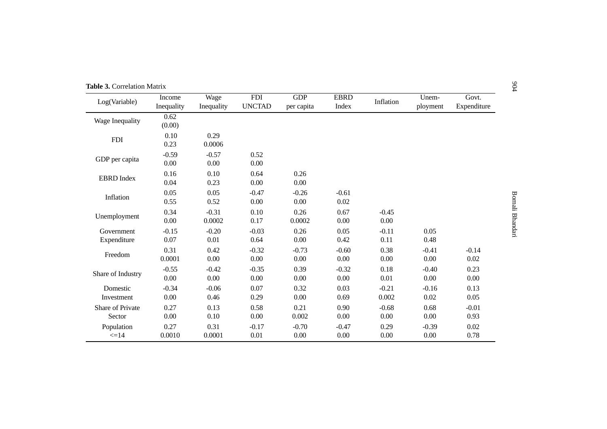| Table 3. Correlation Matrix |                      |                    |                             |                          |                      |                  |                   |                      |
|-----------------------------|----------------------|--------------------|-----------------------------|--------------------------|----------------------|------------------|-------------------|----------------------|
| Log(Variable)               | Income<br>Inequality | Wage<br>Inequality | <b>FDI</b><br><b>UNCTAD</b> | <b>GDP</b><br>per capita | <b>EBRD</b><br>Index | Inflation        | Unem-<br>ployment | Govt.<br>Expenditure |
| Wage Inequality             | 0.62<br>(0.00)       |                    |                             |                          |                      |                  |                   |                      |
| <b>FDI</b>                  | 0.10<br>0.23         | 0.29<br>0.0006     |                             |                          |                      |                  |                   |                      |
| GDP per capita              | $-0.59$<br>0.00      | $-0.57$<br>0.00    | 0.52<br>0.00                |                          |                      |                  |                   |                      |
| <b>EBRD</b> Index           | 0.16<br>0.04         | 0.10<br>0.23       | 0.64<br>0.00                | 0.26<br>0.00             |                      |                  |                   |                      |
| Inflation                   | 0.05<br>0.55         | 0.05<br>0.52       | $-0.47$<br>0.00             | $-0.26$<br>0.00          | $-0.61$<br>0.02      |                  |                   |                      |
| Unemployment                | 0.34<br>0.00         | $-0.31$<br>0.0002  | 0.10<br>0.17                | 0.26<br>0.0002           | 0.67<br>0.00         | $-0.45$<br>0.00  |                   |                      |
| Government<br>Expenditure   | $-0.15$<br>0.07      | $-0.20$<br>0.01    | $-0.03$<br>0.64             | 0.26<br>0.00             | 0.05<br>0.42         | $-0.11$<br>0.11  | 0.05<br>0.48      |                      |
| Freedom                     | 0.31<br>0.0001       | 0.42<br>0.00       | $-0.32$<br>0.00             | $-0.73$<br>0.00          | $-0.60$<br>0.00      | 0.38<br>0.00     | $-0.41$<br>0.00   | $-0.14$<br>0.02      |
| Share of Industry           | $-0.55$<br>0.00      | $-0.42$<br>0.00    | $-0.35$<br>0.00             | 0.39<br>0.00             | $-0.32$<br>0.00      | 0.18<br>0.01     | $-0.40$<br>0.00   | 0.23<br>0.00         |
| Domestic<br>Investment      | $-0.34$<br>0.00      | $-0.06$<br>0.46    | 0.07<br>0.29                | 0.32<br>0.00             | 0.03<br>0.69         | $-0.21$<br>0.002 | $-0.16$<br>0.02   | 0.13<br>0.05         |
| Share of Private<br>Sector  | 0.27<br>0.00         | 0.13<br>0.10       | 0.58<br>0.00                | 0.21<br>0.002            | 0.90<br>0.00         | $-0.68$<br>0.00  | 0.68<br>0.00      | $-0.01$<br>0.93      |
| Population<br>$\leq$ 14     | 0.27<br>0.0010       | 0.31<br>0.0001     | $-0.17$<br>0.01             | $-0.70$<br>0.00          | $-0.47$<br>0.00      | 0.29<br>0.00     | $-0.39$<br>0.00   | 0.02<br>0.78         |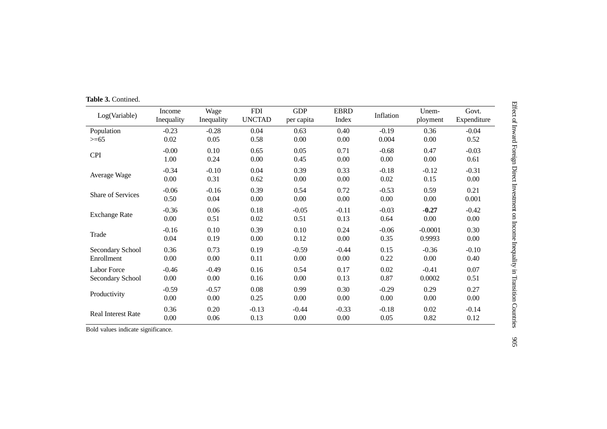| Log(Variable)        | Income<br>Inequality | Wage<br>Inequality | <b>FDI</b><br><b>UNCTAD</b> | <b>GDP</b><br>per capita | <b>EBRD</b><br>Index | Inflation | Unem-<br>ployment | Govt.<br>Expenditure |
|----------------------|----------------------|--------------------|-----------------------------|--------------------------|----------------------|-----------|-------------------|----------------------|
| Population           | $-0.23$              | $-0.28$            | 0.04                        | 0.63                     | 0.40                 | $-0.19$   | 0.36              | $-0.04$              |
| $>= 65$              | $0.02\,$             | 0.05               | 0.58                        | 0.00                     | 0.00                 | 0.004     | 0.00              | 0.52                 |
|                      | $-0.00$              | 0.10               | 0.65                        | 0.05                     | 0.71                 | $-0.68$   | 0.47              | $-0.03$              |
| <b>CPI</b>           | 1.00                 | 0.24               | 0.00                        | 0.45                     | 0.00                 | 0.00      | 0.00              | 0.61                 |
|                      | $-0.34$              | $-0.10$            | 0.04                        | 0.39                     | 0.33                 | $-0.18$   | $-0.12$           | $-0.31$              |
| Average Wage         | 0.00                 | 0.31               | 0.62                        | 0.00                     | 0.00                 | 0.02      | 0.15              | 0.00                 |
| Share of Services    | $-0.06$              | $-0.16$            | 0.39                        | 0.54                     | 0.72                 | $-0.53$   | 0.59              | 0.21                 |
|                      | 0.50                 | 0.04               | 0.00                        | 0.00                     | 0.00                 | 0.00      | 0.00              | 0.001                |
|                      | $-0.36$              | 0.06               | 0.18                        | $-0.05$                  | $-0.11$              | $-0.03$   | $-0.27$           | $-0.42$              |
| <b>Exchange Rate</b> | 0.00                 | 0.51               | 0.02                        | 0.51                     | 0.13                 | 0.64      | 0.00              | 0.00                 |
| Trade                | $-0.16$              | 0.10               | 0.39                        | 0.10                     | 0.24                 | $-0.06$   | $-0.0001$         | 0.30                 |
|                      | 0.04                 | 0.19               | 0.00                        | 0.12                     | 0.00                 | 0.35      | 0.9993            | 0.00                 |
| Secondary School     | 0.36                 | 0.73               | 0.19                        | $-0.59$                  | $-0.44$              | 0.15      | $-0.36$           | $-0.10$              |
| Enrollment           | 0.00                 | 0.00               | 0.11                        | 0.00                     | 0.00                 | 0.22      | 0.00              | 0.40                 |
| <b>Labor Force</b>   | $-0.46$              | $-0.49$            | 0.16                        | 0.54                     | 0.17                 | $0.02\,$  | $-0.41$           | 0.07                 |
| Secondary School     | 0.00                 | 0.00               | 0.16                        | 0.00                     | 0.13                 | 0.87      | 0.0002            | 0.51                 |
|                      | $-0.59$              | $-0.57$            | 0.08                        | 0.99                     | 0.30                 | $-0.29$   | 0.29              | 0.27                 |
| Productivity         | 0.00                 | 0.00               | 0.25                        | 0.00                     | 0.00                 | 0.00      | 0.00              | $0.00\,$             |
|                      | 0.36                 | 0.20               | $-0.13$                     | $-0.44$                  | $-0.33$              | $-0.18$   | 0.02              | $-0.14$              |
| Real Interest Rate   | 0.00                 | 0.06               | 0.13                        | 0.00                     | 0.00                 | 0.05      | 0.82              | 0.12                 |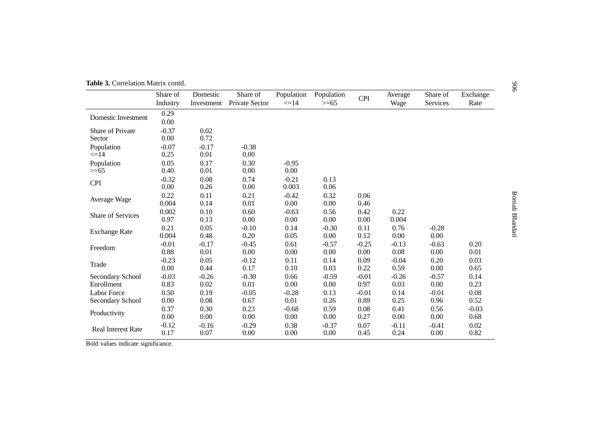| <b>Table 3.</b> Correlation Matrix contd. |  |
|-------------------------------------------|--|

|                           | Share of     | Domestic   | Share of       | Population | Population | <b>CPI</b> | Average | Share of | Exchange |
|---------------------------|--------------|------------|----------------|------------|------------|------------|---------|----------|----------|
|                           | Industry     | Investment | Private Sector | $\leq$ 14  | $>= 65$    |            | Wage    | Services | Rate     |
| Domestic Investment       | 0.29<br>0.00 |            |                |            |            |            |         |          |          |
| Share of Private          | $-0.37$      | 0.02       |                |            |            |            |         |          |          |
| Sector                    | 0.00         | 0.72       |                |            |            |            |         |          |          |
| Population                | $-0.07$      | $-0.17$    | $-0.38$        |            |            |            |         |          |          |
| $\leq$ =14                | 0.25         | 0.01       | 0.00           |            |            |            |         |          |          |
| Population                | 0.05         | 0.17       | 0.30           | $-0.95$    |            |            |         |          |          |
| $>= 65$                   | 0.40         | 0.01       | 0.00           | 0.00       |            |            |         |          |          |
| <b>CPI</b>                | $-0.32$      | 0.08       | 0.74           | $-0.21$    | 0.13       |            |         |          |          |
|                           | 0.00         | 0.26       | 0.00           | 0.003      | 0.06       |            |         |          |          |
|                           | 0.22         | 0.11       | 0.21           | $-0.42$    | 0.32       | 0.06       |         |          |          |
| Average Wage              | 0.004        | 0.14       | 0.01           | 0.00       | $0.00\,$   | 0.46       |         |          |          |
| Share of Services         | 0.002        | 0.10       | 0.60           | $-0.63$    | 0.56       | 0.42       | 0.22    |          |          |
|                           | 0.97         | 0.13       | 0.00           | 0.00       | 0.00       | 0.00       | 0.004   |          |          |
| <b>Exchange Rate</b>      | 0.21         | 0.05       | $-0.10$        | 0.14       | $-0.30$    | 0.11       | 0.76    | $-0.28$  |          |
|                           | 0.004        | 0.48       | 0.20           | 0.05       | 0.00       | 0.12       | 0.00    | 0.00     |          |
| Freedom                   | $-0.01$      | $-0.17$    | $-0.45$        | 0.61       | $-0.57$    | $-0.25$    | $-0.13$ | $-0.63$  | 0.20     |
|                           | 0.88         | 0.01       | 0.00           | 0.00       | 0.00       | 0.00       | 0.08    | 0.00     | 0.01     |
| Trade                     | $-0.23$      | 0.05       | $-0.12$        | 0.11       | 0.14       | 0.09       | $-0.04$ | 0.20     | 0.03     |
|                           | 0.00         | 0.44       | 0.17           | 0.10       | 0.03       | 0.22       | 0.59    | 0.00     | 0.65     |
| Secondary School          | $-0.03$      | $-0.26$    | $-0.30$        | 0.66       | $-0.59$    | $-0.01$    | $-0.26$ | $-0.57$  | 0.14     |
| Enrollment                | 0.83         | 0.02       | 0.01           | 0.00       | 0.00       | 0.97       | 0.03    | 0.00     | 0.23     |
| <b>Labor Force</b>        | 0.50         | 0.19       | $-0.05$        | $-0.28$    | 0.13       | $-0.01$    | 0.14    | $-0.01$  | 0.08     |
| Secondary School          | 0.00         | 0.08       | 0.67           | 0.01       | 0.26       | 0.89       | 0.25    | 0.96     | 0.52     |
| Productivity              | 0.37         | 0.30       | 0.23           | $-0.68$    | 0.59       | 0.08       | 0.41    | 0.56     | $-0.03$  |
|                           | 0.00         | 0.00       | $0.00\,$       | 0.00       | 0.00       | 0.27       | 0.00    | 0.00     | 0.68     |
|                           | $-0.12$      | $-0.16$    | $-0.29$        | 0.38       | $-0.37$    | 0.07       | $-0.11$ | $-0.41$  | 0.02     |
| <b>Real Interest Rate</b> | 0.17         | 0.07       | 0.00           | 0.00       | 0.00       | 0.45       | 0.24    | 0.00     | 0.82     |

Bold values indicate significance.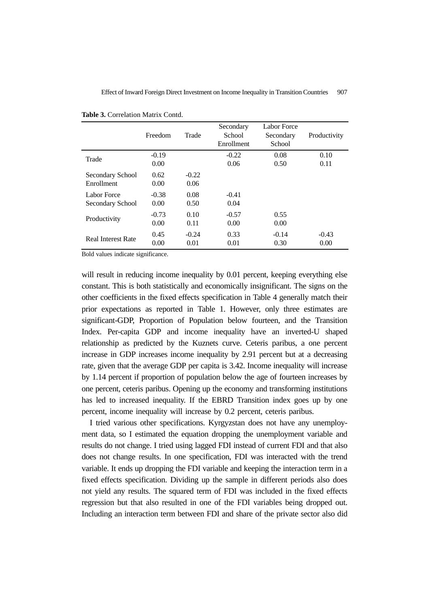|                                 | Freedom         | Trade           | Secondary<br>School<br>Enrollment | Labor Force<br>Secondary<br>School | Productivity    |
|---------------------------------|-----------------|-----------------|-----------------------------------|------------------------------------|-----------------|
| Trade                           | $-0.19$<br>0.00 |                 | $-0.22$<br>0.06                   | 0.08<br>0.50                       | 0.10<br>0.11    |
| Secondary School<br>Enrollment  | 0.62<br>0.00    | $-0.22$<br>0.06 |                                   |                                    |                 |
| Labor Force<br>Secondary School | $-0.38$<br>0.00 | 0.08<br>0.50    | $-0.41$<br>0.04                   |                                    |                 |
| Productivity                    | $-0.73$<br>0.00 | 0.10<br>0.11    | $-0.57$<br>0.00                   | 0.55<br>0.00                       |                 |
| <b>Real Interest Rate</b>       | 0.45<br>0.00    | $-0.24$<br>0.01 | 0.33<br>0.01                      | $-0.14$<br>0.30                    | $-0.43$<br>0.00 |

**Table 3.** Correlation Matrix Contd.

Bold values indicate significance.

will result in reducing income inequality by 0.01 percent, keeping everything else constant. This is both statistically and economically insignificant. The signs on the other coefficients in the fixed effects specification in Table 4 generally match their prior expectations as reported in Table 1. However, only three estimates are significant-GDP, Proportion of Population below fourteen, and the Transition Index. Per-capita GDP and income inequality have an inverted-U shaped relationship as predicted by the Kuznets curve. Ceteris paribus, a one percent increase in GDP increases income inequality by 2.91 percent but at a decreasing rate, given that the average GDP per capita is 3.42. Income inequality will increase by 1.14 percent if proportion of population below the age of fourteen increases by one percent, ceteris paribus. Opening up the economy and transforming institutions has led to increased inequality. If the EBRD Transition index goes up by one percent, income inequality will increase by 0.2 percent, ceteris paribus.

I tried various other specifications. Kyrgyzstan does not have any unemployment data, so I estimated the equation dropping the unemployment variable and results do not change. I tried using lagged FDI instead of current FDI and that also does not change results. In one specification, FDI was interacted with the trend variable. It ends up dropping the FDI variable and keeping the interaction term in a fixed effects specification. Dividing up the sample in different periods also does not yield any results. The squared term of FDI was included in the fixed effects regression but that also resulted in one of the FDI variables being dropped out. Including an interaction term between FDI and share of the private sector also did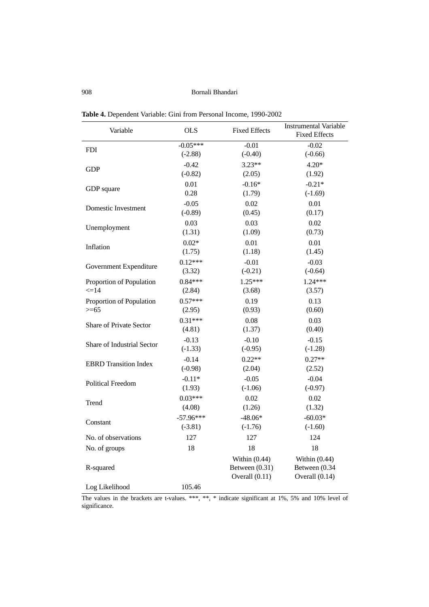908 Bornali Bhandari

| Variable                       | <b>OLS</b>  | <b>Fixed Effects</b> | <b>Instrumental Variable</b><br><b>Fixed Effects</b> |
|--------------------------------|-------------|----------------------|------------------------------------------------------|
| <b>FDI</b>                     | $-0.05***$  | $-0.01$              | $-0.02$                                              |
|                                | $(-2.88)$   | $(-0.40)$            | $(-0.66)$                                            |
| <b>GDP</b>                     | $-0.42$     | $3.23**$             | $4.20*$                                              |
|                                | $(-0.82)$   | (2.05)               | (1.92)                                               |
| GDP square                     | 0.01        | $-0.16*$             | $-0.21*$                                             |
|                                | 0.28        | (1.79)               | $(-1.69)$                                            |
| Domestic Investment            | $-0.05$     | 0.02                 | 0.01                                                 |
|                                | $(-0.89)$   | (0.45)               | (0.17)                                               |
| Unemployment                   | 0.03        | 0.03                 | 0.02                                                 |
|                                | (1.31)      | (1.09)               | (0.73)                                               |
| Inflation                      | $0.02*$     | 0.01                 | 0.01                                                 |
|                                | (1.75)      | (1.18)               | (1.45)                                               |
| Government Expenditure         | $0.12***$   | $-0.01$              | $-0.03$                                              |
|                                | (3.32)      | $(-0.21)$            | $(-0.64)$                                            |
| Proportion of Population       | $0.84***$   | $1.25***$            | $1.24***$                                            |
| $\leq$ 14                      | (2.84)      | (3.68)               | (3.57)                                               |
| Proportion of Population       | $0.57***$   | 0.19                 | 0.13                                                 |
| $>= 65$                        | (2.95)      | (0.93)               | (0.60)                                               |
| <b>Share of Private Sector</b> | $0.31***$   | 0.08                 | 0.03                                                 |
|                                | (4.81)      | (1.37)               | (0.40)                                               |
| Share of Industrial Sector     | $-0.13$     | $-0.10$              | $-0.15$                                              |
|                                | $(-1.33)$   | $(-0.95)$            | $(-1.28)$                                            |
| <b>EBRD</b> Transition Index   | $-0.14$     | $0.22**$             | $0.27**$                                             |
|                                | $(-0.98)$   | (2.04)               | (2.52)                                               |
| <b>Political Freedom</b>       | $-0.11*$    | $-0.05$              | $-0.04$                                              |
|                                | (1.93)      | $(-1.06)$            | $(-0.97)$                                            |
| Trend                          | $0.03***$   | 0.02                 | 0.02                                                 |
|                                | (4.08)      | (1.26)               | (1.32)                                               |
| Constant                       | $-57.96***$ | $-48.06*$            | $-60.03*$                                            |
|                                | $(-3.81)$   | $(-1.76)$            | $(-1.60)$                                            |
| No. of observations            | 127         | 127                  | 124                                                  |
| No. of groups                  | 18          | 18                   | 18                                                   |
|                                |             | Within $(0.44)$      | Within $(0.44)$                                      |
| R-squared                      |             | Between $(0.31)$     | Between (0.34                                        |
|                                |             | Overall $(0.11)$     | Overall $(0.14)$                                     |
| Log Likelihood                 | 105.46      |                      |                                                      |

**Table 4.** Dependent Variable: Gini from Personal Income, 1990-2002

The values in the brackets are t-values. \*\*\*, \*\*, \* indicate significant at 1%, 5% and 10% level of significance.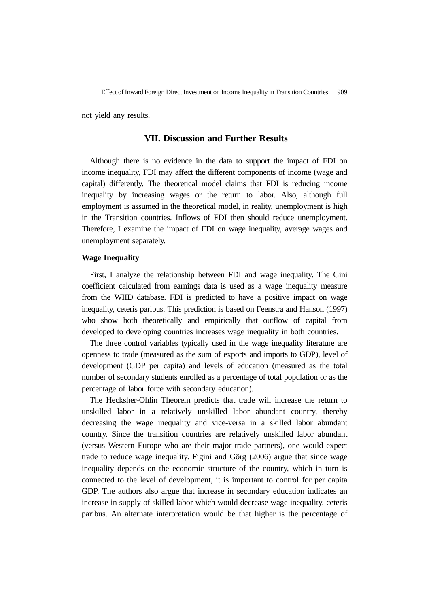not yield any results.

#### **VII. Discussion and Further Results**

Although there is no evidence in the data to support the impact of FDI on income inequality, FDI may affect the different components of income (wage and capital) differently. The theoretical model claims that FDI is reducing income inequality by increasing wages or the return to labor. Also, although full employment is assumed in the theoretical model, in reality, unemployment is high in the Transition countries. Inflows of FDI then should reduce unemployment. Therefore, I examine the impact of FDI on wage inequality, average wages and unemployment separately.

#### **Wage Inequality**

First, I analyze the relationship between FDI and wage inequality. The Gini coefficient calculated from earnings data is used as a wage inequality measure from the WIID database. FDI is predicted to have a positive impact on wage inequality, ceteris paribus. This prediction is based on Feenstra and Hanson (1997) who show both theoretically and empirically that outflow of capital from developed to developing countries increases wage inequality in both countries.

The three control variables typically used in the wage inequality literature are openness to trade (measured as the sum of exports and imports to GDP), level of development (GDP per capita) and levels of education (measured as the total number of secondary students enrolled as a percentage of total population or as the percentage of labor force with secondary education).

The Hecksher-Ohlin Theorem predicts that trade will increase the return to unskilled labor in a relatively unskilled labor abundant country, thereby decreasing the wage inequality and vice-versa in a skilled labor abundant country. Since the transition countries are relatively unskilled labor abundant (versus Western Europe who are their major trade partners), one would expect trade to reduce wage inequality. Figini and Görg (2006) argue that since wage inequality depends on the economic structure of the country, which in turn is connected to the level of development, it is important to control for per capita GDP. The authors also argue that increase in secondary education indicates an increase in supply of skilled labor which would decrease wage inequality, ceteris paribus. An alternate interpretation would be that higher is the percentage of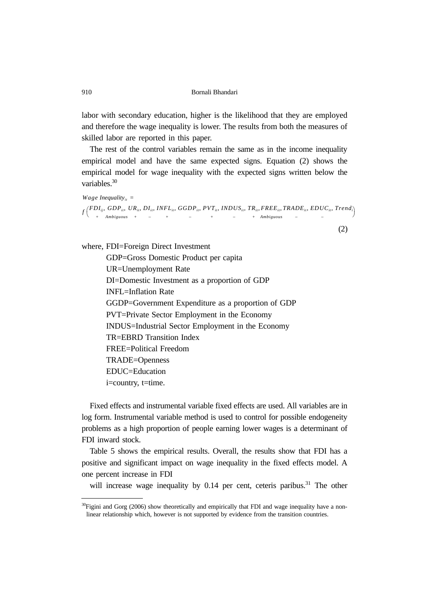labor with secondary education, higher is the likelihood that they are employed and therefore the wage inequality is lower. The results from both the measures of skilled labor are reported in this paper.

The rest of the control variables remain the same as in the income inequality empirical model and have the same expected signs. Equation (2) shows the empirical model for wage inequality with the expected signs written below the variables.<sup>30</sup>

```
Wage Inequality<sub>it</sub> =
f\displaystyle\bigg(\begin{matrix}\pmb{FDI}_{ij},\pmb{\ \ +} \end{matrix}GDPit,
              Ambiguous
                           UR_{it}+
                                    DI_{it}−
                                            \emph{INFL}_{it}+
                                                         GGDPit, 
                                                                −
                                                                        PVT_{it}+
                                                                                   INDUS_{it}−
                                                                                                   TR_{it}+
                                                                                                           FREEit,
                                                                                                           Ambiguous
                                                                                                                        TRADE_{ir}−
                                                                                                                                         EDUC_{it}−
  (FDI_{ij}, GDP_{ij}, UR_{ii}, DRI_{ij}, INFL_{ij}, GGDP_{ij}, PVT_{ij}, INDUS_{ij}, TR_{ij}, FREE_{ij}, TRADE_{ij}, EDUC_{ij}, Trend_{ij})
```
(2)

where, FDI=Foreign Direct Investment

GDP=Gross Domestic Product per capita UR=Unemployment Rate DI=Domestic Investment as a proportion of GDP INFL=Inflation Rate GGDP=Government Expenditure as a proportion of GDP PVT=Private Sector Employment in the Economy INDUS=Industrial Sector Employment in the Economy TR=EBRD Transition Index FREE=Political Freedom TRADE=Openness EDUC=Education i=country, t=time.

Fixed effects and instrumental variable fixed effects are used. All variables are in log form. Instrumental variable method is used to control for possible endogeneity problems as a high proportion of people earning lower wages is a determinant of FDI inward stock.

Table 5 shows the empirical results. Overall, the results show that FDI has a positive and significant impact on wage inequality in the fixed effects model. A one percent increase in FDI

will increase wage inequality by  $0.14$  per cent, ceteris paribus.<sup>31</sup> The other

 $30$ Figini and Gorg (2006) show theoretically and empirically that FDI and wage inequality have a nonlinear relationship which, however is not supported by evidence from the transition countries.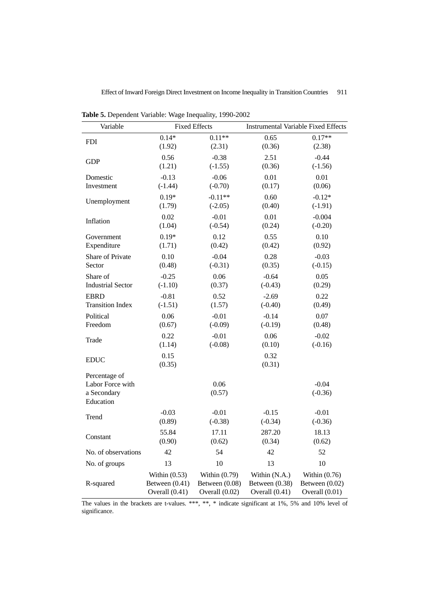| Variable                                                      |                  | <b>Fixed Effects</b> | <b>Instrumental Variable Fixed Effects</b> |                      |  |
|---------------------------------------------------------------|------------------|----------------------|--------------------------------------------|----------------------|--|
| <b>FDI</b>                                                    | $0.14*$          | $0.11**$             | 0.65                                       | $0.17**$             |  |
|                                                               | (1.92)           | (2.31)               | (0.36)                                     | (2.38)               |  |
| <b>GDP</b>                                                    | 0.56             | $-0.38$              | 2.51                                       | $-0.44$              |  |
|                                                               | (1.21)           | $(-1.55)$            | (0.36)                                     | $(-1.56)$            |  |
| Domestic                                                      | $-0.13$          | $-0.06$              | 0.01                                       | 0.01                 |  |
| Investment                                                    | $(-1.44)$        | $(-0.70)$            | (0.17)                                     | (0.06)               |  |
| Unemployment                                                  | $0.19*$          | $-0.11**$            | 0.60                                       | $-0.12*$             |  |
|                                                               | (1.79)           | $(-2.05)$            | (0.40)                                     | $(-1.91)$            |  |
| Inflation                                                     | 0.02             | $-0.01$              | 0.01                                       | $-0.004$             |  |
|                                                               | (1.04)           | $(-0.54)$            | (0.24)                                     | $(-0.20)$            |  |
| Government                                                    | $0.19*$          | 0.12                 | 0.55                                       | 0.10                 |  |
| Expenditure                                                   | (1.71)           | (0.42)               | (0.42)                                     | (0.92)               |  |
| Share of Private                                              | 0.10             | $-0.04$              | 0.28                                       | $-0.03$              |  |
| Sector                                                        | (0.48)           | $(-0.31)$            | (0.35)                                     | $(-0.15)$            |  |
| Share of                                                      | $-0.25$          | 0.06                 | $-0.64$                                    | 0.05                 |  |
| <b>Industrial Sector</b>                                      | $(-1.10)$        | (0.37)               | $(-0.43)$                                  | (0.29)               |  |
| <b>EBRD</b>                                                   | $-0.81$          | 0.52                 | $-2.69$                                    | 0.22                 |  |
| <b>Transition Index</b>                                       | $(-1.51)$        | (1.57)               | $(-0.40)$                                  | (0.49)               |  |
| Political                                                     | 0.06             | $-0.01$              | $-0.14$                                    | 0.07                 |  |
| Freedom                                                       | (0.67)           | $(-0.09)$            | $(-0.19)$                                  | (0.48)               |  |
| Trade                                                         | 0.22             | $-0.01$              | 0.06                                       | $-0.02$              |  |
|                                                               | (1.14)           | $(-0.08)$            | (0.10)                                     | $(-0.16)$            |  |
| <b>EDUC</b>                                                   | 0.15<br>(0.35)   |                      | 0.32<br>(0.31)                             |                      |  |
| Percentage of<br>Labor Force with<br>a Secondary<br>Education |                  | 0.06<br>(0.57)       |                                            | $-0.04$<br>$(-0.36)$ |  |
| Trend                                                         | $-0.03$          | $-0.01$              | $-0.15$                                    | $-0.01$              |  |
|                                                               | (0.89)           | $(-0.38)$            | $(-0.34)$                                  | $(-0.36)$            |  |
| Constant                                                      | 55.84            | 17.11                | 287.20                                     | 18.13                |  |
|                                                               | (0.90)           | (0.62)               | (0.34)                                     | (0.62)               |  |
| No. of observations                                           | 42               | 54                   | 42                                         | 52                   |  |
| No. of groups                                                 | 13               | 10                   | 13                                         | 10                   |  |
| R-squared                                                     | Within $(0.53)$  | Within $(0.79)$      | Within (N.A.)                              | Within $(0.76)$      |  |
|                                                               | Between $(0.41)$ | Between (0.08)       | Between $(0.38)$                           | Between $(0.02)$     |  |
|                                                               | Overall $(0.41)$ | Overall (0.02)       | Overall (0.41)                             | Overall (0.01)       |  |

**Table 5.** Dependent Variable: Wage Inequality, 1990-2002

The values in the brackets are t-values. \*\*\*, \*\*, \* indicate significant at 1%, 5% and 10% level of significance.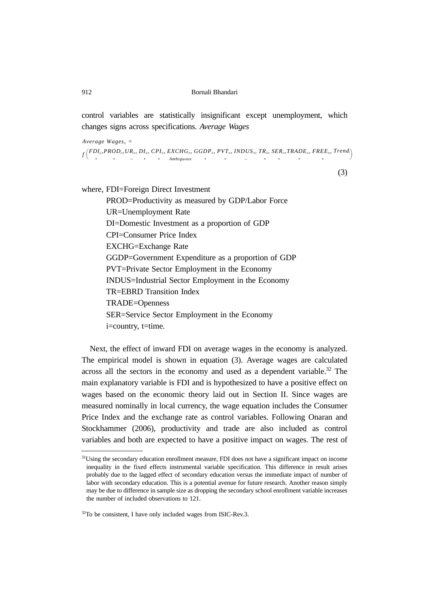control variables are statistically insignificant except unemployment, which changes signs across specifications. *Average Wages*

 $Average Wages_{it} =$  $f\displaystyle\Big(\frac{FDI_{ij},}{+}% \displaystyle\int\limits_{0}^{T}f\left( \frac{FDI_{ij},}{+}\right) ^{2}\frac{1}{\left( 1-\frac{2}{\left( 1-\frac{2}{\left( 1-\frac{2}{\left( 1-\frac{2}{\left( 1-\frac{2}{\left( 1-\frac{2}{\left( 1-\frac{2}{\left( 1-\frac{2}{\left( 1-\frac{2}{\left( 1-\frac{2}{\left( 1-\frac{2}{\left( 1-\frac{2}{\left( 1-\frac{2}{\left( 1-\frac{2}{\left( 1-\frac{2}{\left( 1-\frac{2}{\left( 1$  $(FDI_{ij}, PROD_{in}UR_{in},DI_{in},CHI_{in}, EXCHG_{in}, GGDP_{in}, PVT_{in}, INDUS_{in}, TR_{in}, SER_{in}, TRADE_{in}, FREE_{in}, Trend_{in})$ + − + + *Ambiguous* + + − + + + + +

(3)

where, FDI=Foreign Direct Investment

PROD=Productivity as measured by GDP/Labor Force UR=Unemployment Rate DI=Domestic Investment as a proportion of GDP CPI=Consumer Price Index EXCHG=Exchange Rate GGDP=Government Expenditure as a proportion of GDP PVT=Private Sector Employment in the Economy INDUS=Industrial Sector Employment in the Economy TR=EBRD Transition Index TRADE=Openness SER=Service Sector Employment in the Economy i=country, t=time.

Next, the effect of inward FDI on average wages in the economy is analyzed. The empirical model is shown in equation (3). Average wages are calculated across all the sectors in the economy and used as a dependent variable.<sup>32</sup> The main explanatory variable is FDI and is hypothesized to have a positive effect on wages based on the economic theory laid out in Section II. Since wages are measured nominally in local currency, the wage equation includes the Consumer Price Index and the exchange rate as control variables. Following Onaran and Stockhammer (2006), productivity and trade are also included as control variables and both are expected to have a positive impact on wages. The rest of

<sup>&</sup>lt;sup>31</sup>Using the secondary education enrollment measure, FDI does not have a significant impact on income inequality in the fixed effects instrumental variable specification. This difference in result arises probably due to the lagged effect of secondary education versus the immediate impact of number of labor with secondary education. This is a potential avenue for future research. Another reason simply may be due to difference in sample size as dropping the secondary school enrollment variable increases the number of included observations to 121.

 $32$ To be consistent, I have only included wages from ISIC-Rev.3.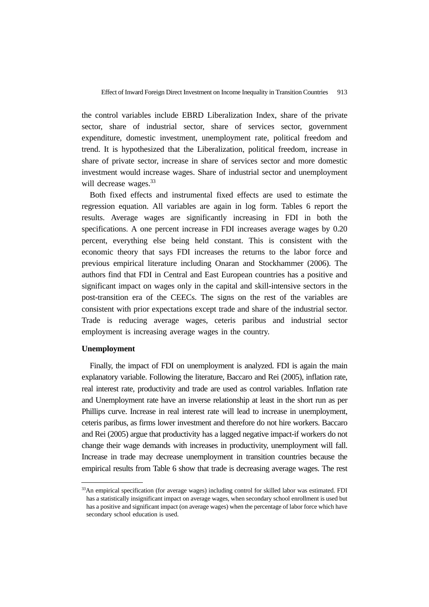the control variables include EBRD Liberalization Index, share of the private sector, share of industrial sector, share of services sector, government expenditure, domestic investment, unemployment rate, political freedom and trend. It is hypothesized that the Liberalization, political freedom, increase in share of private sector, increase in share of services sector and more domestic investment would increase wages. Share of industrial sector and unemployment will decrease wages.<sup>33</sup>

Both fixed effects and instrumental fixed effects are used to estimate the regression equation. All variables are again in log form. Tables 6 report the results. Average wages are significantly increasing in FDI in both the specifications. A one percent increase in FDI increases average wages by 0.20 percent, everything else being held constant. This is consistent with the economic theory that says FDI increases the returns to the labor force and previous empirical literature including Onaran and Stockhammer (2006). The authors find that FDI in Central and East European countries has a positive and significant impact on wages only in the capital and skill-intensive sectors in the post-transition era of the CEECs. The signs on the rest of the variables are consistent with prior expectations except trade and share of the industrial sector. Trade is reducing average wages, ceteris paribus and industrial sector employment is increasing average wages in the country.

#### **Unemployment**

Finally, the impact of FDI on unemployment is analyzed. FDI is again the main explanatory variable. Following the literature, Baccaro and Rei (2005), inflation rate, real interest rate, productivity and trade are used as control variables. Inflation rate and Unemployment rate have an inverse relationship at least in the short run as per Phillips curve. Increase in real interest rate will lead to increase in unemployment, ceteris paribus, as firms lower investment and therefore do not hire workers. Baccaro and Rei (2005) argue that productivity has a lagged negative impact-if workers do not change their wage demands with increases in productivity, unemployment will fall. Increase in trade may decrease unemployment in transition countries because the empirical results from Table 6 show that trade is decreasing average wages. The rest

<sup>33</sup>An empirical specification (for average wages) including control for skilled labor was estimated. FDI has a statistically insignificant impact on average wages, when secondary school enrollment is used but has a positive and significant impact (on average wages) when the percentage of labor force which have secondary school education is used.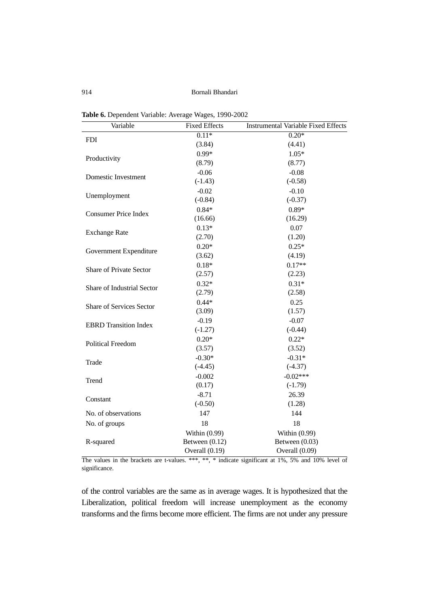914 Bornali Bhandari

| Table 6. Dependent Variable: Average Wages, 1990-2002 |  |                                                                                                                                                                                                                                                                                                                                                                                                                                                                                            |
|-------------------------------------------------------|--|--------------------------------------------------------------------------------------------------------------------------------------------------------------------------------------------------------------------------------------------------------------------------------------------------------------------------------------------------------------------------------------------------------------------------------------------------------------------------------------------|
| <b>TT</b>                                             |  | $\blacksquare$ $\blacksquare$ $\blacksquare$ $\blacksquare$ $\blacksquare$ $\blacksquare$ $\blacksquare$ $\blacksquare$ $\blacksquare$ $\blacksquare$ $\blacksquare$ $\blacksquare$ $\blacksquare$ $\blacksquare$ $\blacksquare$ $\blacksquare$ $\blacksquare$ $\blacksquare$ $\blacksquare$ $\blacksquare$ $\blacksquare$ $\blacksquare$ $\blacksquare$ $\blacksquare$ $\blacksquare$ $\blacksquare$ $\blacksquare$ $\blacksquare$ $\blacksquare$ $\blacksquare$ $\blacksquare$ $\blacks$ |

| Variable                          | <b>Fixed Effects</b> | <b>Instrumental Variable Fixed Effects</b> |
|-----------------------------------|----------------------|--------------------------------------------|
| <b>FDI</b>                        | $0.11*$              | $0.20*$                                    |
|                                   | (3.84)               | (4.41)                                     |
| Productivity                      | $0.99*$              | $1.05*$                                    |
|                                   | (8.79)               | (8.77)                                     |
| Domestic Investment               | $-0.06$              | $-0.08$                                    |
|                                   | $(-1.43)$            | $(-0.58)$                                  |
| Unemployment                      | $-0.02$              | $-0.10$                                    |
|                                   | $(-0.84)$            | $(-0.37)$                                  |
| <b>Consumer Price Index</b>       | $0.84*$              | $0.89*$                                    |
|                                   | (16.66)              | (16.29)                                    |
| <b>Exchange Rate</b>              | $0.13*$              | 0.07                                       |
|                                   | (2.70)               | (1.20)                                     |
| Government Expenditure            | $0.20*$              | $0.25*$                                    |
|                                   | (3.62)               | (4.19)                                     |
| <b>Share of Private Sector</b>    | $0.18*$              | $0.17**$                                   |
|                                   | (2.57)               | (2.23)                                     |
| <b>Share of Industrial Sector</b> | $0.32*$              | $0.31*$                                    |
|                                   | (2.79)               | (2.58)                                     |
| <b>Share of Services Sector</b>   | $0.44*$              | 0.25                                       |
|                                   | (3.09)               | (1.57)                                     |
| <b>EBRD</b> Transition Index      | $-0.19$              | $-0.07$                                    |
|                                   | $(-1.27)$            | $(-0.44)$                                  |
| <b>Political Freedom</b>          | $0.20*$              | $0.22*$                                    |
|                                   | (3.57)               | (3.52)                                     |
| Trade                             | $-0.30*$             | $-0.31*$                                   |
|                                   | $(-4.45)$            | $(-4.37)$                                  |
| Trend                             | $-0.002$             | $-0.02***$                                 |
|                                   | (0.17)               | $(-1.79)$                                  |
| Constant                          | $-8.71$              | 26.39                                      |
|                                   | $(-0.50)$            | (1.28)                                     |
| No. of observations               | 147                  | 144                                        |
| No. of groups                     | 18                   | 18                                         |
|                                   | Within (0.99)        | Within $(0.99)$                            |
| R-squared                         | Between $(0.12)$     | Between $(0.03)$                           |
|                                   | Overall (0.19)       | Overall (0.09)                             |

The values in the brackets are t-values. \*\*\*, \*\*, \* indicate significant at 1%, 5% and 10% level of significance.

of the control variables are the same as in average wages. It is hypothesized that the Liberalization, political freedom will increase unemployment as the economy transforms and the firms become more efficient. The firms are not under any pressure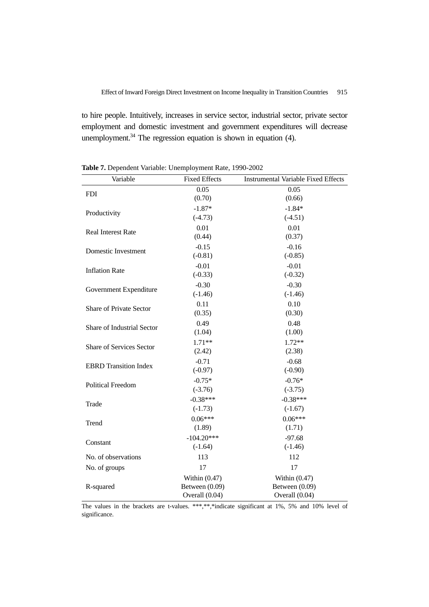to hire people. Intuitively, increases in service sector, industrial sector, private sector employment and domestic investment and government expenditures will decrease unemployment. $34$  The regression equation is shown in equation (4).

| Variable                        | <b>Fixed Effects</b> | <b>Instrumental Variable Fixed Effects</b> |
|---------------------------------|----------------------|--------------------------------------------|
| <b>FDI</b>                      | 0.05                 | 0.05                                       |
|                                 | (0.70)               | (0.66)                                     |
| Productivity                    | $-1.87*$             | $-1.84*$                                   |
|                                 | $(-4.73)$            | $(-4.51)$                                  |
| <b>Real Interest Rate</b>       | 0.01                 | 0.01                                       |
|                                 | (0.44)               | (0.37)                                     |
| Domestic Investment             | $-0.15$              | $-0.16$                                    |
|                                 | $(-0.81)$            | $(-0.85)$                                  |
| <b>Inflation Rate</b>           | $-0.01$              | $-0.01$                                    |
|                                 | $(-0.33)$            | $(-0.32)$                                  |
| Government Expenditure          | $-0.30$              | $-0.30$                                    |
|                                 | $(-1.46)$            | $(-1.46)$                                  |
| Share of Private Sector         | 0.11                 | 0.10                                       |
|                                 | (0.35)               | (0.30)                                     |
| Share of Industrial Sector      | 0.49                 | 0.48                                       |
|                                 | (1.04)               | (1.00)                                     |
| <b>Share of Services Sector</b> | $1.71**$             | $1.72**$                                   |
|                                 | (2.42)               | (2.38)                                     |
| <b>EBRD</b> Transition Index    | $-0.71$              | $-0.68$                                    |
|                                 | $(-0.97)$            | $(-0.90)$                                  |
| <b>Political Freedom</b>        | $-0.75*$             | $-0.76*$                                   |
|                                 | $(-3.76)$            | $(-3.75)$                                  |
| Trade                           | $-0.38***$           | $-0.38***$                                 |
|                                 | $(-1.73)$            | $(-1.67)$                                  |
| Trend                           | $0.06***$            | $0.06***$                                  |
|                                 | (1.89)               | (1.71)                                     |
| Constant                        | $-104.20***$         | $-97.68$                                   |
|                                 | $(-1.64)$            | $(-1.46)$                                  |
| No. of observations             | 113                  | 112                                        |
| No. of groups                   | 17                   | 17                                         |
|                                 | Within $(0.47)$      | Within $(0.47)$                            |
| R-squared                       | Between $(0.09)$     | Between (0.09)                             |
|                                 | Overall (0.04)       | Overall (0.04)                             |

**Table 7.** Dependent Variable: Unemployment Rate, 1990-2002

The values in the brackets are t-values. \*\*\*,\*\*,\*indicate significant at 1%, 5% and 10% level of significance.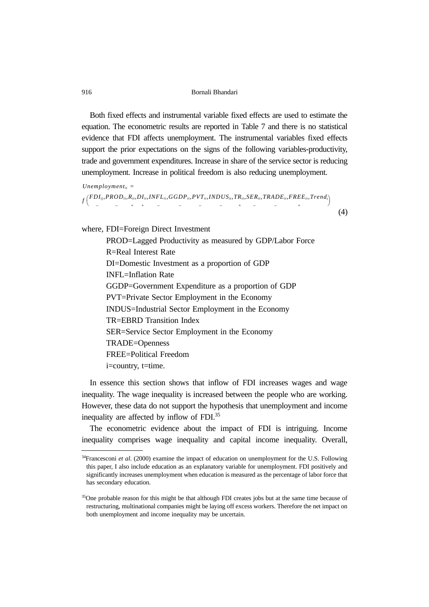Both fixed effects and instrumental variable fixed effects are used to estimate the equation. The econometric results are reported in Table 7 and there is no statistical evidence that FDI affects unemployment. The instrumental variables fixed effects support the prior expectations on the signs of the following variables-productivity, trade and government expenditures. Increase in share of the service sector is reducing unemployment. Increase in political freedom is also reducing unemployment.

 $Unemployment_{it}$  =

```
f FDIij ,
−
             PRODit,
                   −
                          Rit,
                            +
                               DI_{it}+
                                      INFL_{it},
                                           −
                                                  GGDPit,
                                                        −
                                                               PVT_{it}−
                                                                         INDUSit,
                                                                               −
                                                                                        TR_{it}+
                                                                                               SERit,
                                                                                                   −
                                                                                                        TRADEit,
                                                                                                               −
                                                                                                                        FREEit,
                                                                                                                             +
  \left( \begin{matrix} FDI_{ij}, PROD_{i}, R_{i}, DI_{i}, INFL_{i}, GGDP_{i}, PYT_{i}, INDUS_{i}, TR_{i}, SER_{i}, TRADE_{i}, FREE_{i}, Trend_{i} \end{matrix} \right)
```
(4)

where, FDI=Foreign Direct Investment

PROD=Lagged Productivity as measured by GDP/Labor Force R=Real Interest Rate DI=Domestic Investment as a proportion of GDP INFL=Inflation Rate GGDP=Government Expenditure as a proportion of GDP PVT=Private Sector Employment in the Economy INDUS=Industrial Sector Employment in the Economy TR=EBRD Transition Index SER=Service Sector Employment in the Economy TRADE=Openness FREE=Political Freedom i=country, t=time.

In essence this section shows that inflow of FDI increases wages and wage inequality. The wage inequality is increased between the people who are working. However, these data do not support the hypothesis that unemployment and income inequality are affected by inflow of FDI.35

The econometric evidence about the impact of FDI is intriguing. Income inequality comprises wage inequality and capital income inequality. Overall,

<sup>34</sup>Francesconi *et al*. (2000) examine the impact of education on unemployment for the U.S. Following this paper, I also include education as an explanatory variable for unemployment. FDI positively and significantly increases unemployment when education is measured as the percentage of labor force that has secondary education.

<sup>&</sup>lt;sup>35</sup>One probable reason for this might be that although FDI creates jobs but at the same time because of restructuring, multinational companies might be laying off excess workers. Therefore the net impact on both unemployment and income inequality may be uncertain.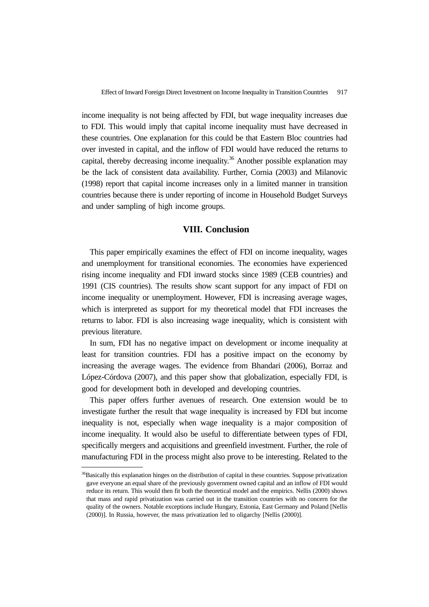income inequality is not being affected by FDI, but wage inequality increases due to FDI. This would imply that capital income inequality must have decreased in these countries. One explanation for this could be that Eastern Bloc countries had over invested in capital, and the inflow of FDI would have reduced the returns to capital, thereby decreasing income inequality.<sup>36</sup> Another possible explanation may be the lack of consistent data availability. Further, Cornia (2003) and Milanovic (1998) report that capital income increases only in a limited manner in transition countries because there is under reporting of income in Household Budget Surveys and under sampling of high income groups.

# **VIII. Conclusion**

This paper empirically examines the effect of FDI on income inequality, wages and unemployment for transitional economies. The economies have experienced rising income inequality and FDI inward stocks since 1989 (CEB countries) and 1991 (CIS countries). The results show scant support for any impact of FDI on income inequality or unemployment. However, FDI is increasing average wages, which is interpreted as support for my theoretical model that FDI increases the returns to labor. FDI is also increasing wage inequality, which is consistent with previous literature.

In sum, FDI has no negative impact on development or income inequality at least for transition countries. FDI has a positive impact on the economy by increasing the average wages. The evidence from Bhandari (2006), Borraz and López-Córdova (2007), and this paper show that globalization, especially FDI, is good for development both in developed and developing countries.

This paper offers further avenues of research. One extension would be to investigate further the result that wage inequality is increased by FDI but income inequality is not, especially when wage inequality is a major composition of income inequality. It would also be useful to differentiate between types of FDI, specifically mergers and acquisitions and greenfield investment. Further, the role of manufacturing FDI in the process might also prove to be interesting. Related to the

<sup>&</sup>lt;sup>36</sup>Basically this explanation hinges on the distribution of capital in these countries. Suppose privatization gave everyone an equal share of the previously government owned capital and an inflow of FDI would reduce its return. This would then fit both the theoretical model and the empirics. Nellis (2000) shows that mass and rapid privatization was carried out in the transition countries with no concern for the quality of the owners. Notable exceptions include Hungary, Estonia, East Germany and Poland [Nellis (2000)]. In Russia, however, the mass privatization led to oligarchy [Nellis (2000)].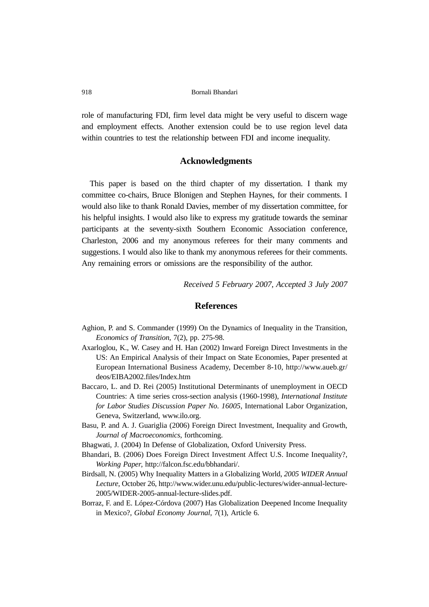role of manufacturing FDI, firm level data might be very useful to discern wage and employment effects. Another extension could be to use region level data within countries to test the relationship between FDI and income inequality.

### **Acknowledgments**

This paper is based on the third chapter of my dissertation. I thank my committee co-chairs, Bruce Blonigen and Stephen Haynes, for their comments. I would also like to thank Ronald Davies, member of my dissertation committee, for his helpful insights. I would also like to express my gratitude towards the seminar participants at the seventy-sixth Southern Economic Association conference, Charleston, 2006 and my anonymous referees for their many comments and suggestions. I would also like to thank my anonymous referees for their comments. Any remaining errors or omissions are the responsibility of the author.

*Received 5 February 2007, Accepted 3 July 2007*

# **References**

- Aghion, P. and S. Commander (1999) On the Dynamics of Inequality in the Transition, *Economics of Transition*, 7(2), pp. 275-98.
- Axarloglou, K., W. Casey and H. Han (2002) Inward Foreign Direct Investments in the US: An Empirical Analysis of their Impact on State Economies, Paper presented at European International Business Academy, December 8-10, http://www.aueb.gr/ deos/EIBA2002.files/Index.htm
- Baccaro, L. and D. Rei (2005) Institutional Determinants of unemployment in OECD Countries: A time series cross-section analysis (1960-1998), *International Institute for Labor Studies Discussion Paper No. 16005*, International Labor Organization, Geneva, Switzerland, www.ilo.org.
- Basu, P. and A. J. Guariglia (2006) Foreign Direct Investment, Inequality and Growth, *Journal of Macroeconomics*, forthcoming.
- Bhagwati, J. (2004) In Defense of Globalization, Oxford University Press.
- Bhandari, B. (2006) Does Foreign Direct Investment Affect U.S. Income Inequality?, *Working Paper*, http://falcon.fsc.edu/bbhandari/.
- Birdsall, N. (2005) Why Inequality Matters in a Globalizing World, *2005 WIDER Annual Lecture,* October 26, http://www.wider.unu.edu/public-lectures/wider-annual-lecture-2005/WIDER-2005-annual-lecture-slides.pdf.
- Borraz, F. and E. López-Córdova (2007) Has Globalization Deepened Income Inequality in Mexico?, *Global Economy Journal*, 7(1), Article 6.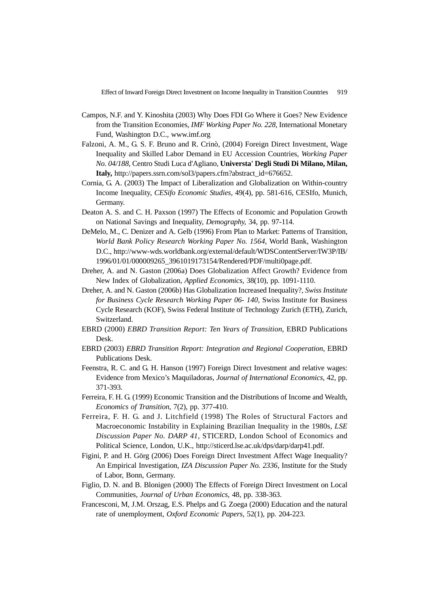Effect of Inward Foreign Direct Investment on Income Inequality in Transition Countries 919

- Campos, N.F. and Y. Kinoshita (2003) Why Does FDI Go Where it Goes? New Evidence from the Transition Economies, *IMF Working Paper No. 228*, International Monetary Fund, Washington D.C., www.imf.org
- Falzoni, A. M., G. S. F. Bruno and R. Crinò, (2004) Foreign Direct Investment, Wage Inequality and Skilled Labor Demand in EU Accession Countries, *Working Paper No. 04/188*, Centro Studi Luca d'Agliano, **Universta' Degli Studi Di Milano, Milan, Italy,** http://papers.ssrn.com/sol3/papers.cfm?abstract\_id=676652.
- Cornia, G. A. (2003) The Impact of Liberalization and Globalization on Within-country Income Inequality, *CESifo Economic Studies*, 49(4), pp. 581-616, CESIfo, Munich, Germany.
- Deaton A. S. and C. H. Paxson (1997) The Effects of Economic and Population Growth on National Savings and Inequality, *Demography*, 34, pp. 97-114.
- DeMelo, M., C. Denizer and A. Gelb (1996) From Plan to Market: Patterns of Transition, *World Bank Policy Research Working Paper No. 1564*, World Bank, Washington D.C., http://www-wds.worldbank.org/external/default/WDSContentServer/IW3P/IB/ 1996/01/01/000009265\_3961019173154/Rendered/PDF/multi0page.pdf.
- Dreher, A. and N. Gaston (2006a) Does Globalization Affect Growth? Evidence from New Index of Globalization, *Applied Economics*, 38(10), pp. 1091-1110.
- Dreher, A. and N. Gaston (2006b) Has Globalization Increased Inequality?, *Swiss Institute for Business Cycle Research Working Paper 06- 140*, Swiss Institute for Business Cycle Research (KOF), Swiss Federal Institute of Technology Zurich (ETH), Zurich, Switzerland.
- EBRD (2000) *EBRD Transition Report: Ten Years of Transition*, EBRD Publications Desk.
- EBRD (2003) *EBRD Transition Report: Integration and Regional Cooperation*, EBRD Publications Desk.
- Feenstra, R. C. and G. H. Hanson (1997) Foreign Direct Investment and relative wages: Evidence from Mexico's Maquiladoras, *Journal of International Economics*, 42, pp. 371-393.
- Ferreira, F. H. G. (1999) Economic Transition and the Distributions of Income and Wealth, *Economics of Transition*, 7(2), pp. 377-410.
- Ferreira, F. H. G. and J. Litchfield (1998) The Roles of Structural Factors and Macroeconomic Instability in Explaining Brazilian Inequality in the 1980s, *LSE Discussion Paper No. DARP 41*, STICERD, London School of Economics and Political Science, London, U.K., http://sticerd.lse.ac.uk/dps/darp/darp41.pdf.
- Figini, P. and H. Görg (2006) Does Foreign Direct Investment Affect Wage Inequality? An Empirical Investigation, *IZA Discussion Paper No. 2336*, Institute for the Study of Labor, Bonn, Germany.
- Figlio, D. N. and B. Blonigen (2000) The Effects of Foreign Direct Investment on Local Communities, *Journal of Urban Economics*, 48, pp. 338-363.
- Francesconi, M, J.M. Orszag, E.S. Phelps and G. Zoega (2000) Education and the natural rate of unemployment, *Oxford Economic Papers*, 52(1), pp. 204-223.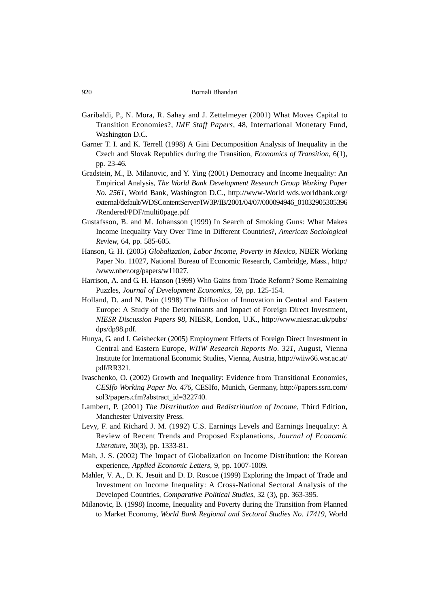- Garibaldi, P., N. Mora, R. Sahay and J. Zettelmeyer (2001) What Moves Capital to Transition Economies?, *IMF Staff Papers*, 48, International Monetary Fund, Washington D.C.
- Garner T. I. and K. Terrell (1998) A Gini Decomposition Analysis of Inequality in the Czech and Slovak Republics during the Transition, *Economics of Transition*, 6(1), pp. 23-46.
- Gradstein, M., B. Milanovic, and Y. Ying (2001) Democracy and Income Inequality: An Empirical Analysis, *The World Bank Development Research Group Working Paper No. 2561*, World Bank, Washington D.C., http://www-World wds.worldbank.org/ external/default/WDSContentServer/IW3P/IB/2001/04/07/000094946\_01032905305396 /Rendered/PDF/multi0page.pdf
- Gustafsson, B. and M. Johansson (1999) In Search of Smoking Guns: What Makes Income Inequality Vary Over Time in Different Countries?, *American Sociological Review*, 64, pp. 585-605.
- Hanson, G. H. (2005) *Globalization, Labor Income, Poverty in Mexico*, NBER Working Paper No. 11027, National Bureau of Economic Research, Cambridge, Mass., http:/ /www.nber.org/papers/w11027.
- Harrison, A. and G. H. Hanson (1999) Who Gains from Trade Reform? Some Remaining Puzzles, *Journal of Development Economics*, 59, pp. 125-154.
- Holland, D. and N. Pain (1998) The Diffusion of Innovation in Central and Eastern Europe: A Study of the Determinants and Impact of Foreign Direct Investment, *NIESR Discussion Papers 98*, NIESR, London, U.K., http://www.niesr.ac.uk/pubs/ dps/dp98.pdf.
- Hunya, G. and I. Geishecker (2005) Employment Effects of Foreign Direct Investment in Central and Eastern Europe, *WIIW Research Reports No. 321*, August, Vienna Institute for International Economic Studies, Vienna, Austria, http://wiiw66.wsr.ac.at/ pdf/RR321.
- Ivaschenko, O. (2002) Growth and Inequality: Evidence from Transitional Economies, *CESIfo Working Paper No. 476*, CESIfo, Munich, Germany, http://papers.ssrn.com/ sol3/papers.cfm?abstract\_id=322740.
- Lambert, P. (2001) *The Distribution and Redistribution of Income*, Third Edition, Manchester University Press.
- Levy, F. and Richard J. M. (1992) U.S. Earnings Levels and Earnings Inequality: A Review of Recent Trends and Proposed Explanations, *Journal of Economic Literature*, 30(3), pp. 1333-81.
- Mah, J. S. (2002) The Impact of Globalization on Income Distribution: the Korean experience, *Applied Economic Letters*, 9, pp. 1007-1009.
- Mahler, V. A., D. K. Jesuit and D. D. Roscoe (1999) Exploring the Impact of Trade and Investment on Income Inequality: A Cross-National Sectoral Analysis of the Developed Countries, *Comparative Political Studies*, 32 (3), pp. 363-395.
- Milanovic, B. (1998) Income, Inequality and Poverty during the Transition from Planned to Market Economy, *World Bank Regional and Sectoral Studies No. 17419*, World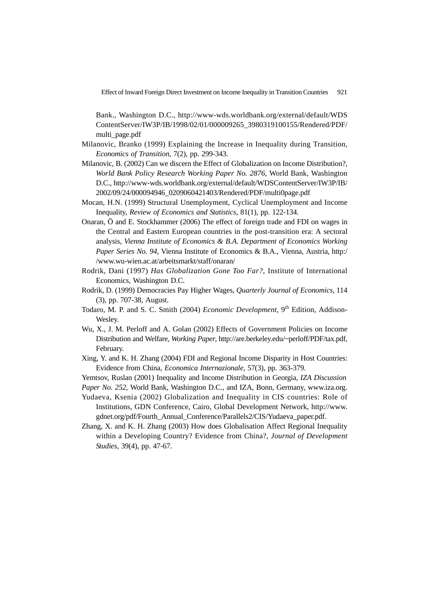Effect of Inward Foreign Direct Investment on Income Inequality in Transition Countries 921

Bank., Washington D.C., http://www-wds.worldbank.org/external/default/WDS ContentServer/IW3P/IB/1998/02/01/000009265\_3980319100155/Rendered/PDF/ multi\_page.pdf

- Milanovic, Branko (1999) Explaining the Increase in Inequality during Transition, *Economics of Transition*, 7(2), pp. 299-343.
- Milanovic, B. (2002) Can we discern the Effect of Globalization on Income Distribution?, *World Bank Policy Research Working Paper No. 2876*, World Bank, Washington D.C., http://www-wds.worldbank.org/external/default/WDSContentServer/IW3P/IB/ 2002/09/24/000094946\_0209060421403/Rendered/PDF/multi0page.pdf
- Mocan, H.N. (1999) Structural Unemployment, Cyclical Unemployment and Income Inequality, *Review of Economics and Statistics*, 81(1), pp. 122-134.
- Onaran, Ö and E. Stockhammer (2006) The effect of foreign trade and FDI on wages in the Central and Eastern European countries in the post-transition era: A sectoral analysis, *Vienna Institute of Economics & B.A. Department of Economics Working Paper Series No. 94*, Vienna Institute of Economics & B.A., Vienna, Austria, http:/ /www.wu-wien.ac.at/arbeitsmarkt/staff/onaran/
- Rodrik, Dani (1997) *Has Globalization Gone Too Far?*, Institute of International Economics, Washington D.C.
- Rodrik, D. (1999) Democracies Pay Higher Wages, *Quarterly Journal of Economics*, 114 (3), pp. 707-38, August.
- Todaro, M. P. and S. C. Smith (2004) *Economic Development*, 9th Edition, Addison-Wesley.
- Wu, X., J. M. Perloff and A. Golan (2002) Effects of Government Policies on Income Distribution and Welfare, *Working Paper*, http://are.berkeley.edu/~perloff/PDF/tax.pdf, February.
- Xing, Y. and K. H. Zhang (2004) FDI and Regional Income Disparity in Host Countries: Evidence from China, *Economica Internazionale*, 57(3), pp. 363-379.
- Yemtsov, Ruslan (2001) Inequality and Income Distribution in Georgia, *IZA Discussion*
- *Paper No. 252*, World Bank, Washington D.C., and IZA, Bonn, Germany, www.iza.org.
- Yudaeva, Ksenia (2002) Globalization and Inequality in CIS countries: Role of Institutions, GDN Conference, Cairo, Global Development Network, http://www. gdnet.org/pdf/Fourth\_Annual\_Conference/Parallels2/CIS/Yudaeva\_paper.pdf.
- Zhang, X. and K. H. Zhang (2003) How does Globalisation Affect Regional Inequality within a Developing Country? Evidence from China?, *Journal of Development Studies*, 39(4), pp. 47-67.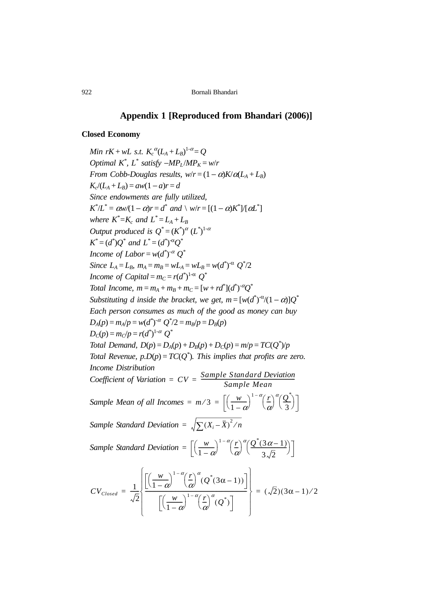# **Appendix 1 [Reproduced from Bhandari (2006)]**

#### **Closed Economy**

*Min*  $rK + wL$  s.t.  $K_c^{\alpha}(L_A + L_B)^{1-\alpha} = Q$ *Optimal*  $K^*$ ,  $L^*$  *satisfy*  $-MP_L/MP_K = w/r$ *From Cobb-Douglas results, w*/ $r = (1 - \alpha)K/\alpha(L_A + L_B)$  $K_c/(L_A + L_B) = aw(1 - a)r = d$ *Since endowments are fully utilized,*  $K^*/L^* = \alpha w/(1-\alpha)r = d^*$  and  $\setminus w/r = [(1-\alpha)K^*]/[\alpha L^*]$ *where*  $K^* = K_c$  and  $L^* = L_A + L_B$ *Output produced is*  $Q^* = (K^*)^{\alpha} (L^*)^{1-\alpha}$  $K^* = (d^*)Q^*$  and  $L^* = (d^*)^{\alpha}Q^*$ *Income of Labor* =  $w(d^*)^{-\alpha} Q^*$ *Since*  $L_A = L_B$ ,  $m_A = m_B = wL_A = wL_B = w(d^*)^{-\alpha} Q^*/2$ *Income of Capital* =  $m_C = r(d^*)^{1-\alpha}$   $Q^*$ *Total Income,*  $m = m_A + m_B + m_C = [w + rd^*](d^*)^{-\alpha}Q^*$ *Substituting d inside the bracket, we get,*  $m = [w(d^*)^{\alpha}/(1-\alpha)]Q^*$ *Each person consumes as much of the good as money can buy*  $D_A(p) = m_A/p = w(d^*)^{-\alpha}$   $Q^*/2 = m_B/p = D_B(p)$  $D_c(p) = m_c/p = r(d^*)^{1-\alpha} Q^*$ *Total Demand,*  $D(p) = D_A(p) + D_B(p) + D_C(p) = m/p = TC(Q^*)/p$ *Total Revenue,*  $p.D(p) = TC(Q^*)$ *. This implies that profits are zero. Income Distribution Coefficient of Variation* =  $CV = \frac{Sample\ Standard\ Deviation}{Sample\ Mean}$ *Sample Mean of all Incomes =*  $m/3 = \left[ \left( \frac{w}{1-\alpha} \right)^{1-\alpha} \left( \frac{r}{\alpha} \right)^{\alpha} \left( \frac{Q^*}{3} \right) \right]$ *Sample Standard Deviation* =  $\sqrt{\sum (X_i - \overline{X})^2/n}$ *Sample Standard Deviation* =  $\left[\left(\frac{w}{1-\alpha}\right)^{1-\alpha}\left(\frac{r}{\alpha}\right)^{\alpha}\left(\frac{Q^*(3\alpha-1)}{3\sqrt{2}}\right)\right]$  $CV_{Closed} = \frac{1}{4}$ 2  $\frac{1}{\sqrt{2}}$  $\left(\frac{w}{1-\alpha}\right)^{1-\alpha} \left(\frac{r}{\alpha}\right)^{\alpha} (Q^*(3\alpha-1))$  $\left(\frac{w}{1-\alpha}\right)^{1-\alpha} \left(\frac{r}{\alpha}\right)^{\alpha} (Q^*)$ -----------------------------------------------------------------------------  $\left[\begin{array}{cc} \lfloor \sqrt{1-\alpha} & \lfloor \alpha \rfloor & (\alpha) \end{array}\right]$  $\left\{\frac{\lfloor (1-\alpha) \cdot (\alpha \cdot (3\alpha-1)) \rfloor}{\alpha} \right\}$  $\left[\begin{array}{ccc} - & \sqrt{1-\alpha} & \alpha & \sqrt{1-\alpha} \\ \end{array}\right]$  $=\frac{1}{\sqrt{2}}\left\{\frac{3\alpha}{2} + \frac{3\alpha}{2} + \frac{3\alpha}{2} + \frac{3\alpha}{2} + \frac{3\alpha}{2} + \frac{3\alpha}{2} + \frac{3\alpha}{2} + \frac{3\alpha}{2} + \frac{3\alpha}{2} + \frac{3\alpha}{2} + \frac{3\alpha}{2} + \frac{3\alpha}{2} + \frac{3\alpha}{2} + \frac{3\alpha}{2} + \frac{3\alpha}{2} + \frac{3\alpha}{2} + \frac{3\alpha}{2} + \frac{3\alpha}{2} + \frac{3\alpha}{2} + \frac{3\alpha}{2} + \frac{3\alpha}{$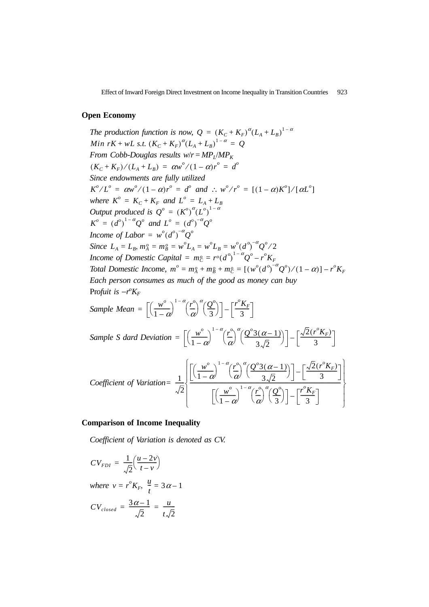Effect of Inward Foreign Direct Investment on Income Inequality in Transition Countries 923

#### **Open Economy**

*The production function is now,*  $Q = (K_C + K_F)^{\alpha} (L_A + L_B)^{1-\alpha}$ *From Cobb-Douglas results w/r* =  $MP<sub>I</sub>/MP<sub>K</sub>$ *Since endowments are fully utilized*  $K^o/L^o = \alpha w^o/(1-\alpha)r^o = d^o$  and :  $w^o/r^o = [(1-\alpha)K^o]/[\alpha L^o]$ *where*  $K^o = K_C + K_F$  *and*  $L^o = L_A + L_B$ *Output produced is*  $Q^{\circ} = (K^{\circ})^{\alpha} (L^{\circ})^{1-\alpha}$  $K^{o} = (d^{o})^{1-\alpha}Q^{o}$  and  $L^{o} = (d^{o})^{-\alpha}Q^{o}$ *Income of Labor* =  $w^o(d^o)^{-\alpha}Q^o$ *Since Income of Domestic Capital Total Domestic Income,*  $m^o = m_A^o + m_B^o + m_C^o = [(w^o(d^o)^{-\alpha}Q^o)/(1-\alpha)] - r^oK_F$ *Each person consumes as much of the good as money can buy* Profuit is  $-r^{\rho}K_F$ *Min*  $rK + wL$  *s.t.*  $(K_C + K_F)^{\alpha}(L_A + L_B)^{1-\alpha} = Q$  $(K_C + K_F)/(L_A + L_B) = \alpha w^o/(1-\alpha) r^o = d^o$  $L_A = L_B$ ,  $m_A^o = m_B^o = w^o L_A = w^o L_B = w^o (d^o)^{-a} Q^o / 2$  $= m_C^o = r^o(d^o)^{1-a}Q^o - r^oK_F$ *o*

Sample Mean = 
$$
\left[ \left( \frac{w^o}{1 - \alpha} \right)^{1 - \alpha} \left( \frac{r^o}{\alpha} \right)^{\alpha} \left( \frac{Q^o}{3} \right) \right] - \left[ \frac{r^o K_F}{3} \right]
$$
  
\nSample S dard Deviation = 
$$
\left[ \left( \frac{w^o}{1 - \alpha} \right)^{1 - \alpha} \left( \frac{r^o}{\alpha} \right)^{\alpha} \left( \frac{Q^o 3(\alpha - 1)}{3 \sqrt{2}} \right) \right] - \left[ \frac{\sqrt{2} (r^o K_F)}{3} \right]
$$
  
\nCoefficient of Variation = 
$$
\frac{1}{\sqrt{2}} \left[ \frac{\left[ \left( \frac{w^o}{1 - \alpha} \right)^{1 - \alpha} \left( \frac{r^o}{\alpha} \right)^{\alpha} \left( \frac{Q^o 3(\alpha - 1)}{3 \sqrt{2}} \right) \right] - \left[ \frac{\sqrt{2} (r^o K_F)}{3} \right] \right]
$$
  
\n
$$
\left[ \left( \frac{w^o}{1 - \alpha} \right)^{1 - \alpha} \left( \frac{r^o}{\alpha} \right)^{\alpha} \left( \frac{Q^o}{3} \right) \right] - \left[ \frac{r^o K_F}{3} \right]
$$

#### **Comparison of Income Inequality**

*Coefficient of Variation is denoted as CV.*

$$
CV_{FDI} = \frac{1}{\sqrt{2}} \left( \frac{u - 2v}{t - v} \right)
$$
  
where  $v = r^o K_F$ ,  $\frac{u}{t} = 3\alpha - 1$   

$$
CV_{closed} = \frac{3\alpha - 1}{\sqrt{2}} = \frac{u}{t\sqrt{2}}
$$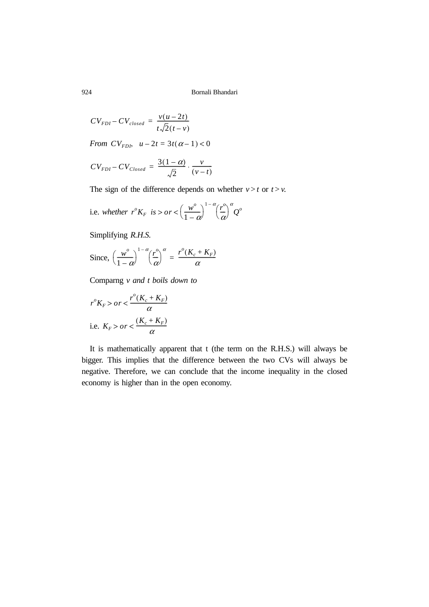$$
CV_{FDI} - CV_{closed} = \frac{v(u - 2t)}{t\sqrt{2(t - v)}}
$$
  
From  $CV_{FDI}$ ,  $u - 2t = 3t(\alpha - 1) < 0$   

$$
CV = \frac{3(1 - \alpha)}{v}
$$

$$
CV_{FDI} - CV_{Closed} = \frac{3(1-\alpha)}{\sqrt{2}} \cdot \frac{v}{(v-t)}
$$

The sign of the difference depends on whether  $v > t$  or  $t > v$ .

i.e. whether 
$$
r^{\circ}K_F
$$
 is >  $or < \left(\frac{w^{\circ}}{1-\alpha}\right)^{1-\alpha} \left(\frac{r^{\circ}}{\alpha}\right)^{\alpha} Q^{\circ}$ 

Simplifying *R.H.S.*

Since, 
$$
\left(\frac{w^o}{1-\alpha}\right)^{1-\alpha} \left(\frac{r^o}{\alpha}\right)^{\alpha} = \frac{r^o(K_c + K_F)}{\alpha}
$$

Comparng *v and t boils down to*

$$
r^{o}K_{F} > or < \frac{r^{o}(K_{c} + K_{F})}{\alpha}
$$
  
i.e.  $K_{F} > or < \frac{(K_{c} + K_{F})}{\alpha}$ 

It is mathematically apparent that t (the term on the R.H.S.) will always be bigger. This implies that the difference between the two CVs will always be negative. Therefore, we can conclude that the income inequality in the closed economy is higher than in the open economy.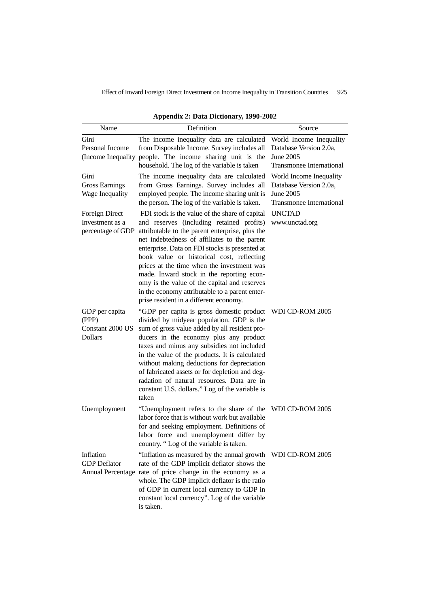Effect of Inward Foreign Direct Investment on Income Inequality in Transition Countries 925

| Name                                                          | Definition                                                                                                                                                                                                                                                                                                                                                                                                                                                                                                                           | Source                                                                                            |
|---------------------------------------------------------------|--------------------------------------------------------------------------------------------------------------------------------------------------------------------------------------------------------------------------------------------------------------------------------------------------------------------------------------------------------------------------------------------------------------------------------------------------------------------------------------------------------------------------------------|---------------------------------------------------------------------------------------------------|
| Gini<br>Personal Income                                       | The income inequality data are calculated<br>from Disposable Income. Survey includes all<br>(Income Inequality people. The income sharing unit is the<br>household. The log of the variable is taken                                                                                                                                                                                                                                                                                                                                 | World Income Inequality<br>Database Version 2.0a.<br>June 2005<br>Transmonee International        |
| Gini<br><b>Gross Earnings</b><br>Wage Inequality              | The income inequality data are calculated<br>from Gross Earnings. Survey includes all<br>employed people. The income sharing unit is<br>the person. The log of the variable is taken.                                                                                                                                                                                                                                                                                                                                                | World Income Inequality<br>Database Version 2.0a,<br>June 2005<br><b>Transmonee International</b> |
| Foreign Direct<br>Investment as a<br>percentage of GDP        | FDI stock is the value of the share of capital<br>and reserves (including retained profits)<br>attributable to the parent enterprise, plus the<br>net indebtedness of affiliates to the parent<br>enterprise. Data on FDI stocks is presented at<br>book value or historical cost, reflecting<br>prices at the time when the investment was<br>made. Inward stock in the reporting econ-<br>omy is the value of the capital and reserves<br>in the economy attributable to a parent enter-<br>prise resident in a different economy. | <b>UNCTAD</b><br>www.unctad.org                                                                   |
| GDP per capita<br>(PPP)<br>Constant 2000 US<br><b>Dollars</b> | "GDP per capita is gross domestic product WDI CD-ROM 2005<br>divided by midyear population. GDP is the<br>sum of gross value added by all resident pro-<br>ducers in the economy plus any product<br>taxes and minus any subsidies not included<br>in the value of the products. It is calculated<br>without making deductions for depreciation<br>of fabricated assets or for depletion and deg-<br>radation of natural resources. Data are in<br>constant U.S. dollars." Log of the variable is<br>taken                           |                                                                                                   |
| Unemployment                                                  | "Unemployment refers to the share of the<br>labor force that is without work but available<br>for and seeking employment. Definitions of<br>labor force and unemployment differ by<br>country. "Log of the variable is taken.                                                                                                                                                                                                                                                                                                        | WDI CD-ROM 2005                                                                                   |
| Inflation<br><b>GDP</b> Deflator                              | "Inflation as measured by the annual growth WDI CD-ROM 2005<br>rate of the GDP implicit deflator shows the<br>Annual Percentage rate of price change in the economy as a<br>whole. The GDP implicit deflator is the ratio<br>of GDP in current local currency to GDP in<br>constant local currency". Log of the variable<br>is taken.                                                                                                                                                                                                |                                                                                                   |

**Appendix 2: Data Dictionary, 1990-2002**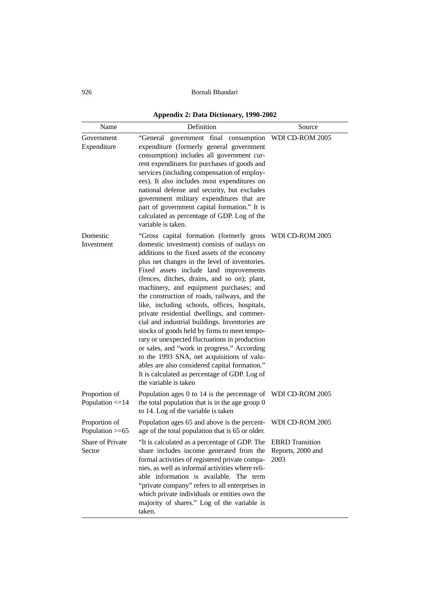**Appendix 2: Data Dictionary, 1990-2002**

| Name                                  | Definition                                                                                                                                                                                                                                                                                                                                                                                                                                                                                                                                                                                                                                                                                                                                                                                                                                             | Source                    |
|---------------------------------------|--------------------------------------------------------------------------------------------------------------------------------------------------------------------------------------------------------------------------------------------------------------------------------------------------------------------------------------------------------------------------------------------------------------------------------------------------------------------------------------------------------------------------------------------------------------------------------------------------------------------------------------------------------------------------------------------------------------------------------------------------------------------------------------------------------------------------------------------------------|---------------------------|
| Government<br>Expenditure             | "General government final consumption WDICD-ROM 2005<br>expenditure (formerly general government<br>consumption) includes all government cur-<br>rent expenditures for purchases of goods and<br>services (including compensation of employ-<br>ees). It also includes most expenditures on<br>national defense and security, but excludes<br>government military expenditures that are<br>part of government capital formation." It is<br>calculated as percentage of GDP. Log of the<br>variable is taken.                                                                                                                                                                                                                                                                                                                                           |                           |
| Domestic<br>Investment                | "Gross capital formation (formerly gross<br>domestic investment) consists of outlays on<br>additions to the fixed assets of the economy<br>plus net changes in the level of inventories.<br>Fixed assets include land improvements<br>(fences, ditches, drains, and so on); plant,<br>machinery, and equipment purchases; and<br>the construction of roads, railways, and the<br>like, including schools, offices, hospitals,<br>private residential dwellings, and commer-<br>cial and industrial buildings. Inventories are<br>stocks of goods held by firms to meet tempo-<br>rary or unexpected fluctuations in production<br>or sales, and "work in progress." According<br>to the 1993 SNA, net acquisitions of valu-<br>ables are also considered capital formation."<br>It is calculated as percentage of GDP. Log of<br>the variable is taken | WDI CD-ROM 2005           |
| Proportion of<br>Population $\leq$ 14 | Population ages 0 to 14 is the percentage of WDI CD-ROM 2005<br>the total population that is in the age group 0<br>to 14. Log of the variable is taken                                                                                                                                                                                                                                                                                                                                                                                                                                                                                                                                                                                                                                                                                                 |                           |
| Proportion of<br>Population >=65      | Population ages 65 and above is the percent- WDI CD-ROM 2005<br>age of the total population that is 65 or older.                                                                                                                                                                                                                                                                                                                                                                                                                                                                                                                                                                                                                                                                                                                                       |                           |
| Share of Private<br>Sector            | "It is calculated as a percentage of GDP. The EBRD Transition<br>share includes income generated from the<br>formal activities of registered private compa-<br>nies, as well as informal activities where reli-<br>able information is available. The term<br>"private company" refers to all enterprises in<br>which private individuals or entities own the<br>majority of shares." Log of the variable is<br>taken.                                                                                                                                                                                                                                                                                                                                                                                                                                 | Reports, 2000 and<br>2003 |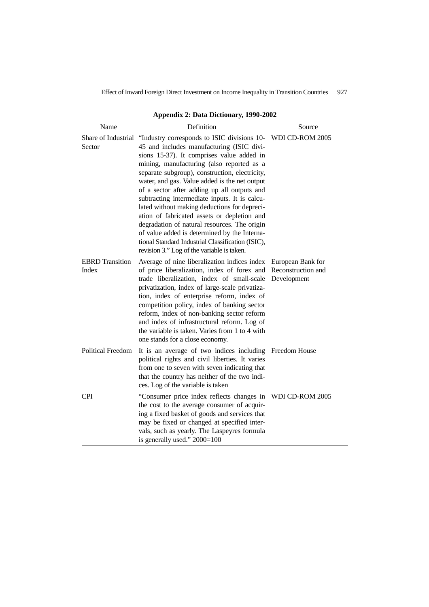Effect of Inward Foreign Direct Investment on Income Inequality in Transition Countries 927

| Name                            | Definition                                                                                                                                                                                                                                                                                                                                                                                                                                                                                                                                                                                                                                                                                                                  | Source                                                 |
|---------------------------------|-----------------------------------------------------------------------------------------------------------------------------------------------------------------------------------------------------------------------------------------------------------------------------------------------------------------------------------------------------------------------------------------------------------------------------------------------------------------------------------------------------------------------------------------------------------------------------------------------------------------------------------------------------------------------------------------------------------------------------|--------------------------------------------------------|
| Sector                          | Share of Industrial "Industry corresponds to ISIC divisions 10- WDI CD-ROM 2005<br>45 and includes manufacturing (ISIC divi-<br>sions 15-37). It comprises value added in<br>mining, manufacturing (also reported as a<br>separate subgroup), construction, electricity,<br>water, and gas. Value added is the net output<br>of a sector after adding up all outputs and<br>subtracting intermediate inputs. It is calcu-<br>lated without making deductions for depreci-<br>ation of fabricated assets or depletion and<br>degradation of natural resources. The origin<br>of value added is determined by the Interna-<br>tional Standard Industrial Classification (ISIC),<br>revision 3." Log of the variable is taken. |                                                        |
| <b>EBRD</b> Transition<br>Index | Average of nine liberalization indices index<br>of price liberalization, index of forex and<br>trade liberalization, index of small-scale<br>privatization, index of large-scale privatiza-<br>tion, index of enterprise reform, index of<br>competition policy, index of banking sector<br>reform, index of non-banking sector reform<br>and index of infrastructural reform. Log of<br>the variable is taken. Varies from 1 to 4 with<br>one stands for a close economy.                                                                                                                                                                                                                                                  | European Bank for<br>Reconstruction and<br>Development |
| <b>Political Freedom</b>        | It is an average of two indices including Freedom House<br>political rights and civil liberties. It varies<br>from one to seven with seven indicating that<br>that the country has neither of the two indi-<br>ces. Log of the variable is taken                                                                                                                                                                                                                                                                                                                                                                                                                                                                            |                                                        |
| <b>CPI</b>                      | "Consumer price index reflects changes in<br>the cost to the average consumer of acquir-<br>ing a fixed basket of goods and services that<br>may be fixed or changed at specified inter-<br>vals, such as yearly. The Laspeyres formula<br>is generally used." 2000=100                                                                                                                                                                                                                                                                                                                                                                                                                                                     | WDI CD-ROM 2005                                        |

**Appendix 2: Data Dictionary, 1990-2002**